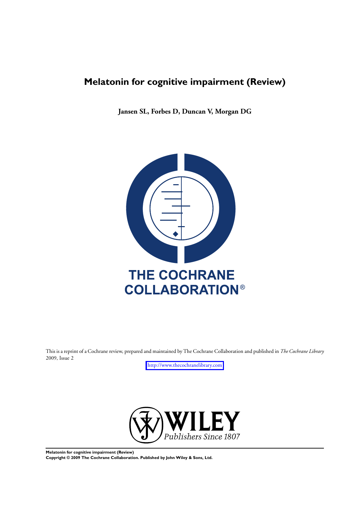# **Melatonin for cognitive impairment (Review)**

**Jansen SL, Forbes D, Duncan V, Morgan DG**



This is a reprint of a Cochrane review, prepared and maintained by The Cochrane Collaboration and published in *The Cochrane Library* 2009, Issue 2

<http://www.thecochranelibrary.com>



**Melatonin for cognitive impairment (Review)**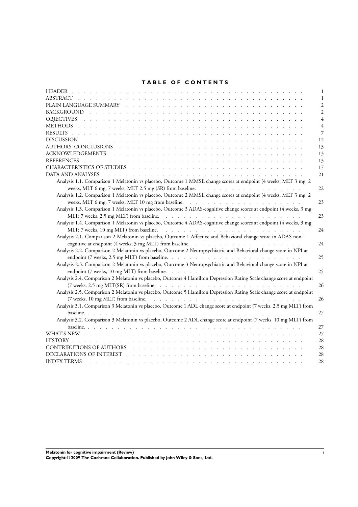# **TABLE OF CONTENTS**

|                                                                                                                                                                                                                                                            | $\overline{c}$ |
|------------------------------------------------------------------------------------------------------------------------------------------------------------------------------------------------------------------------------------------------------------|----------------|
|                                                                                                                                                                                                                                                            | 4              |
|                                                                                                                                                                                                                                                            | 4              |
|                                                                                                                                                                                                                                                            | 7              |
|                                                                                                                                                                                                                                                            | 12             |
|                                                                                                                                                                                                                                                            | 13             |
|                                                                                                                                                                                                                                                            | 13             |
|                                                                                                                                                                                                                                                            | 13             |
|                                                                                                                                                                                                                                                            | 17             |
|                                                                                                                                                                                                                                                            | 21             |
| Analysis 1.1. Comparison 1 Melatonin vs placebo, Outcome 1 MMSE change scores at endpoint (4 weeks, MLT 3 mg; 2                                                                                                                                            |                |
|                                                                                                                                                                                                                                                            | 22             |
| Analysis 1.2. Comparison 1 Melatonin vs placebo, Outcome 2 MMSE change scores at endpoint (4 weeks, MLT 3 mg; 2                                                                                                                                            |                |
|                                                                                                                                                                                                                                                            | 23             |
| Analysis 1.3. Comparison 1 Melatonin vs placebo, Outcome 3 ADAS-cognitive change scores at endpoint (4 weeks, 3 mg                                                                                                                                         |                |
|                                                                                                                                                                                                                                                            | 23             |
| Analysis 1.4. Comparison 1 Melatonin vs placebo, Outcome 4 ADAS-cognitive change scores at endpoint (4 weeks, 3 mg                                                                                                                                         |                |
|                                                                                                                                                                                                                                                            | 24             |
| Analysis 2.1. Comparison 2 Melatonin vs placebo, Outcome 1 Affective and Behavioral change score in ADAS non-                                                                                                                                              |                |
|                                                                                                                                                                                                                                                            | 24             |
| Analysis 2.2. Comparison 2 Melatonin vs placebo, Outcome 2 Neuropsychiatric and Behavioral change score in NPI at                                                                                                                                          |                |
|                                                                                                                                                                                                                                                            | 25             |
| Analysis 2.3. Comparison 2 Melatonin vs placebo, Outcome 3 Neuropsychiatric and Behavioral change score in NPI at                                                                                                                                          |                |
|                                                                                                                                                                                                                                                            | 25             |
| Analysis 2.4. Comparison 2 Melatonin vs placebo, Outcome 4 Hamilton Depression Rating Scale change score at endpoint                                                                                                                                       |                |
|                                                                                                                                                                                                                                                            | 26             |
| Analysis 2.5. Comparison 2 Melatonin vs placebo, Outcome 5 Hamilton Depression Rating Scale change score at endpoint                                                                                                                                       |                |
|                                                                                                                                                                                                                                                            | 26             |
| Analysis 3.1. Comparison 3 Melatonin vs placebo, Outcome 1 ADL change score at endpoint (7 weeks, 2.5 mg MLT) from                                                                                                                                         |                |
|                                                                                                                                                                                                                                                            | 27             |
| Analysis 3.2. Comparison 3 Melatonin vs placebo, Outcome 2 ADL change score at endpoint (7 weeks, 10 mg MLT) from                                                                                                                                          |                |
|                                                                                                                                                                                                                                                            | 27             |
|                                                                                                                                                                                                                                                            | 27             |
|                                                                                                                                                                                                                                                            | 28             |
|                                                                                                                                                                                                                                                            | 28             |
|                                                                                                                                                                                                                                                            | 28             |
| <b>INDEX TERMS</b><br><u>. In the second contract of the second contract of the second contract of the second contract of the second contract of the second contract of the second contract of the second contract of the second contract of the secon</u> | 28             |

**Melatonin for cognitive impairment (Review) i**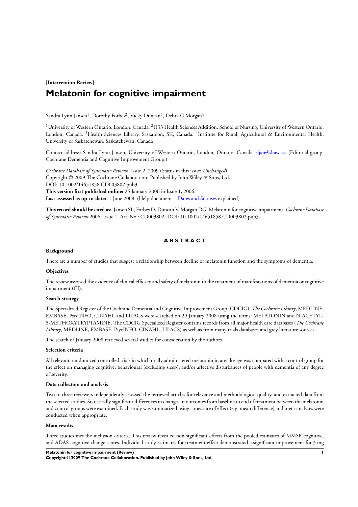# **[Intervention Review] Melatonin for cognitive impairment**

Sandra Lynn Jansen $^1$ , Dorothy Forbes $^2$ , Vicky Duncan $^3$ , Debra G Morgan $^4$ 

<sup>1</sup>University of Western Ontario, London, Canada. <sup>2</sup>H33 Health Sciences Addition, School of Nursing, University of Western Ontario, London, Canada. <sup>3</sup>Health Sciences Library, Saskatoon, SK, Canada. <sup>4</sup> Institute for Rural, Agricultural & Environmental Health, University of Saskatchewan, Saskatchewan, Canada

Contact address: Sandra Lynn Jansen, University of Western Ontario, London, Ontario, Canada. [sljan@shaw.ca.](mailto:sljan@shaw.ca) (Editorial group: Cochrane Dementia and Cognitive Improvement Group.)

*Cochrane Database of Systematic Reviews*, Issue 2, 2009 (Status in this issue: *Unchanged*) Copyright © 2009 The Cochrane Collaboration. Published by John Wiley & Sons, Ltd. DOI: 10.1002/14651858.CD003802.pub3 **This version first published online:** 25 January 2006 in Issue 1, 2006. **Last assessed as up-to-date:** 1 June 2008. (Help document - [Dates and Statuses](http://www3.interscience.wiley.com/cgi-bin/mrwhome/106568753/DatesStatuses.pdf) explained)

**This record should be cited as:** Jansen SL, Forbes D, Duncan V, Morgan DG. Melatonin for cognitive impairment. *Cochrane Database of Systematic Reviews* 2006, Issue 1. Art. No.: CD003802. DOI: 10.1002/14651858.CD003802.pub3.

# **A B S T R A C T**

### **Background**

There are a number of studies that suggest a relationship between decline of melatonin function and the symptoms of dementia.

### **Objectives**

The review assessed the evidence of clinical efficacy and safety of melatonin in the treatment of manifestations of dementia or cognitive impairment (CI).

# **Search strategy**

The Specialized Register of the Cochrane Dementia and Cognitive Improvement Group (CDCIG), *The Cochrane Library*, MEDLINE, EMBASE, PsycINFO, CINAHL and LILACS were searched on 29 January 2008 using the terms: MELATONIN and N-ACETYL-5-METHOXYTRYPTAMINE. The CDCIG Specialized Register contains records from all major health care databases (*The Cochrane Library*, MEDLINE, EMBASE, PsycINFO, CINAHL, LILACS) as well as from many trials databases and grey literature sources.

The search of January 2008 retrieved several studies for consideration by the authors.

### **Selection criteria**

All relevant, randomized controlled trials in which orally administered melatonin in any dosage was compared with a control group for the effect on managing cognitive, behavioural (excluding sleep), and/or affective disturbances of people with dementia of any degree of severity.

# **Data collection and analysis**

Two to three reviewers independently assessed the retrieved articles for relevance and methodological quality, and extracted data from the selected studies. Statistically significant differences in changes in outcomes from baseline to end of treatment between the melatonin and control groups were examined. Each study was summarized using a measure of effect (e.g. mean difference) and meta-analyses were conducted when appropriate.

### **Main results**

Three studies met the inclusion criteria. This review revealed non-significant effects from the pooled estimates of MMSE cognitive, and ADAS-cognitive change scores. Individual study estimates for treatment effect demonstrated a significant improvement for 3 mg

**Melatonin for cognitive impairment (Review) 1**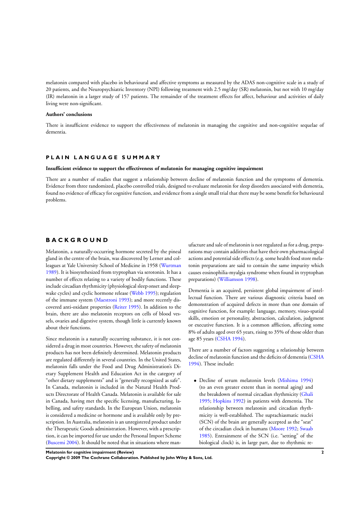melatonin compared with placebo in behavioural and affective symptoms as measured by the ADAS non-cognitive scale in a study of 20 patients, and the Neuropsychiatric Inventory (NPI) following treatment with 2.5 mg/day (SR) melatonin, but not with 10 mg/day (IR) melatonin in a larger study of 157 patients. The remainder of the treatment effects for affect, behaviour and activities of daily living were non-significant.

### **Authors' conclusions**

There is insufficient evidence to support the effectiveness of melatonin in managing the cognitive and non-cognitive sequelae of dementia.

# **P L A I N L A N G U A G E S U M M A R Y**

#### **Insufficient evidence to support the effectiveness of melatonin for managing cognitive impairment**

There are a number of studies that suggest a relationship between decline of melatonin function and the symptoms of dementia. Evidence from three randomized, placebo controlled trials, designed to evaluate melatonin for sleep disorders associated with dementia, found no evidence of efficacy for cognitive function, and evidence from a single small trial that there may be some benefit for behavioural problems.

# **B A C K G R O U N D**

Melatonin, a naturally-occurring hormone secreted by the pineal gland in the centre of the brain, was discovered by Lerner and colleagues at Yale University School of Medicine in 1958 [\(Wurtman](#page-14-0) [1989](#page-14-0)). It is biosynthesized from tryptophan via serotonin. It has a number of effects relating to a variety of bodily functions. These include circadian rhythmicity (physiological sleep onset and sleepwake cycles) and cyclic hormone release [\(Webb 1995\)](#page-14-0); regulation of the immune system [\(Maestroni 1993](#page-14-0)); and more recently discovered anti-oxidant properties ([Reiter 1995](#page-14-0)). In addition to the brain, there are also melatonin receptors on cells of blood vessels, ovaries and digestive system, though little is currently known about their functions.

Since melatonin is a naturally occurring substance, it is not considered a drug in most countries. However, the safety of melatonin products has not been definitely determined. Melatonin products are regulated differently in several countries. In the United States, melatonin falls under the Food and Drug Administration's Dietary Supplement Health and Education Act in the category of "other dietary supplements" and is "generally recognized as safe". In Canada, melatonin is included in the Natural Health Products Directorate of Health Canada. Melatonin is available for sale in Canada, having met the specific licensing, manufacturing, labelling, and safety standards. In the European Union, melatonin is considered a medicine or hormone and is available only by prescription. In Australia, melatonin is an unregistered product under the Therapeutic Goods administration. However, with a prescription, it can be imported for use under the Personal Import Scheme [\(Buscemi 2004](#page-14-0)). It should be noted that in situations where man-

ufacture and sale of melatonin is not regulated as for a drug, preparations may contain additives that have their own pharmacological actions and potential side effects (e.g. some health food store melatonin preparations are said to contain the same impurity which causes eosinophilia-myalgia syndrome when found in tryptophan preparations) [\(Williamson 1998\)](#page-14-0).

Dementia is an acquired, persistent global impairment of intellectual function. There are various diagnostic criteria based on demonstration of acquired defects in more than one domain of cognitive function, for example: language, memory, visuo-spatial skills, emotion or personality, abstraction, calculation, judgment or executive function. It is a common affliction, affecting some 8% of adults aged over 65 years, rising to 35% of those older than age 85 years ([CSHA 1994\)](#page-14-0).

There are a number of factors suggesting a relationship between decline of melatonin function and the deficits of dementia ([CSHA](#page-14-0) [1994](#page-14-0)). These include:

• Decline of serum melatonin levels [\(Mishima 1994](#page-14-0)) (to an even greater extent than in normal aging) and the breakdown of normal circadian rhythmicity ([Ghali](#page-14-0) [1995](#page-14-0); [Hopkins 1992](#page-14-0)) in patients with dementia. The relationship between melatonin and circadian rhythmicity is well-established. The suprachiasmatic nuclei (SCN) of the brain are generally accepted as the "seat" of the circadian clock in humans [\(Moore 1992;](#page-14-0) [Swaab](#page-14-0) [1985](#page-14-0)). Entrainment of the SCN (i.e. "setting" of the biological clock) is, in large part, due to rhythmic re-

**Melatonin for cognitive impairment (Review) 2**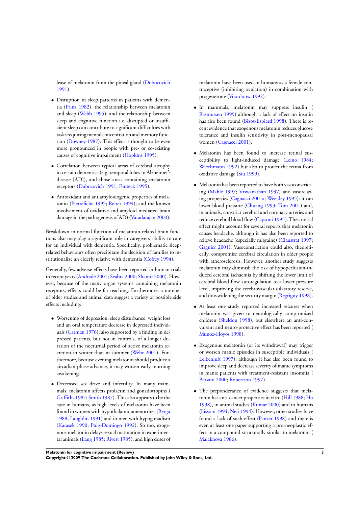lease of melatonin from the pineal gland ([Dubocovich](#page-14-0) [1991](#page-14-0)).

- Disruption in sleep patterns in patients with dementia [\(Prinz 1982\)](#page-14-0), the relationship between melatonin and sleep [\(Webb 1995\)](#page-14-0), and the relationship between sleep and cognitive function i.e. disrupted or insufficient sleep can contribute to significant difficulties with tasks requiring mental concentration and memory function ([Downey 1987](#page-14-0)). This effect is thought to be even more pronounced in people with pre- or co-existing causes of cognitive impairment ([Hopkins 1995](#page-14-0)).
- Correlation between typical areas of cerebral atrophy in certain dementias (e.g. temporal lobes in Alzheimer's disease [AD]), and those areas containing melatonin receptors [\(Dubocovich 1991](#page-14-0); [Fauteck 1995](#page-14-0)).
- Antioxidant and antiamyloidogenic properties of melatonin ([Pierrefiche 1995;](#page-14-0) [Reiter 1994](#page-14-0)); and the known involvement of oxidative and amyloid-mediated brain damage in the pathogenesis of AD) ([Varadarajan 2000](#page-14-0)).

Breakdown in normal function of melatonin-related brain functions also may play a significant role in caregivers' ability to care for an individual with dementia. Specifically, problematic sleeprelated behaviours often precipitate the decision of families to institutionalize an elderly relative with dementia [\(Coffey 1994\)](#page-14-0).

Generally, few adverse effects have been reported in human trials in recent years [\(Andrade 2001;](#page-14-0) [Seabra 2000](#page-14-0); [Shamir 2000](#page-14-0)). However, because of the many organ systems containing melatonin receptors, effects could be far-reaching. Furthermore, a number of older studies and animal data suggest a variety of possible side effects including:

- Worsening of depression, sleep disturbance, weight loss and an oral temperature decrease in depressed individuals [\(Carman 1976\)](#page-14-0); also supported by a finding in depressed patients, but not in controls, of a longer duration of the nocturnal period of active melatonin secretion in winter than in summer ([Wehr 2001](#page-14-0)). Furthermore, because evening melatonin should produce a circadian phase advance, it may worsen early morning awakening.
- Decreased sex drive and infertility. In many mammals, melatonin affects prolactin and gonadotropins ( [Griffiths 1987](#page-14-0); [Smith 1987\)](#page-14-0). This also appears to be the case in humans, as high levels of melatonin have been found in women with hypothalamic amenorrhea [\(Berga](#page-14-0) [1988](#page-14-0); [Laughlin 1991\)](#page-14-0) and in men with hypogonadism ([Karasek 1990](#page-14-0); [Puig-Domingo 1992](#page-14-0)). So too, exogenous melatonin delays sexual maturation in experimental animals ([Lang 1985;](#page-14-0) [Rivest 1985](#page-14-0)), and high doses of

melatonin have been used in humans as a female contraceptive (inhibiting ovulation) in combination with progesterone ([Voordouw 1992](#page-14-0)).

- In mammals, melatonin may suppress insulin ( [Rasmussen 1999](#page-14-0)) although a lack of effect on insulin has also been found [\(Bizot-Espiard 1998\)](#page-14-0). There is recent evidence that exogenous melatonin reduces glucose tolerance and insulin sensitivity in post-menopausal women ([Cagnacci 2001](#page-14-0)).
- Melatonin has been found to increase retinal susceptibility to light-induced damage ([Leino 1984](#page-14-0); [Wiechmann 1992\)](#page-14-0) but also to protect the retina from oxidative damage [\(Siu 1999\)](#page-14-0).
- Melatonin has been reported to have both vasoconstricting [\(Mahle 1997;](#page-14-0) [Viswanathan 1997\)](#page-14-0) and vasorelaxing properties [\(Cagnacci 2001a;](#page-14-0) [Weekley 1995\)](#page-14-0)*:* it can lower blood pressure ([Chuang 1993;](#page-14-0) [Tom 2001](#page-14-0)) and, in animals, constrict cerebral and coronary arteries and reduce cerebral blood flow [\(Capsoni 1995\)](#page-14-0). The arterial effect might account for several reports that melatonin causes headache, although it has also been reported to relieve headache (especially migraine) ([Claustrat 1997](#page-14-0); [Gagnier 2001](#page-14-0)). Vasoconstriction could also, theoretically, compromise cerebral circulation in older people with atherosclerosis. However, another study suggests melatonin may diminish the risk of hypoperfusion-induced cerebral ischaemia by shifting the lower limit of cerebral blood flow autoregulation to a lower pressure level, improving the cerebrovascular dilatatory reserve, and thus widening the security margin ([Regrigny 1998](#page-14-0)).
- At least one study reported increased seizures when melatonin was given to neurologically compromised children [\(Sheldon 1998](#page-14-0)), but elsewhere an anti-convulsant and neuro-protective effect has been reported ( [Munoz-Hoyos 1998\)](#page-14-0).
- Exogenous melatonin (or its withdrawal) may trigger or worsen manic episodes in susceptible individuals ( [Leibenluft 1997](#page-14-0)), although it has also been found to improve sleep and decrease severity of manic symptoms in manic patients with treatment-resistant insomnia ( [Bersani 2000;](#page-14-0) [Robertson 1997\)](#page-14-0).
- The preponderance of evidence suggests that melatonin has anti-cancer properties in vitro [\(Hill 1988;](#page-14-0) [Hu](#page-14-0) [1998](#page-14-0)), in animal studies ([Kumar 2000\)](#page-14-0) and in humans ([Lissoni 1994](#page-14-0); [Neri 1994\)](#page-14-0). However, other studies have found a lack of such effect [\(Panzer 1998\)](#page-14-0) and there is even at least one paper supporting a pro-neoplastic effect in a compound structurally similar to melatonin ( [Malakhova 1986\)](#page-14-0).

**Melatonin for cognitive impairment (Review) 3**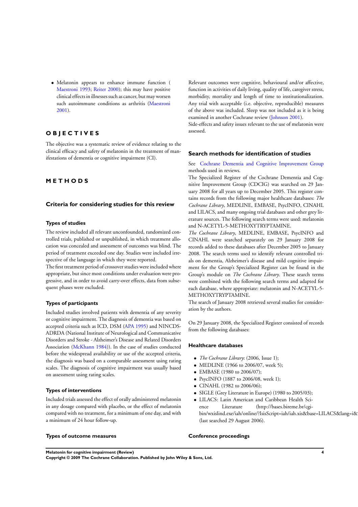• Melatonin appears to enhance immune function ( [Maestroni 1993](#page-14-0); [Reiter 2000](#page-14-0)); this may have positive clinical effects in illnesses such as cancer, but may worsen such autoimmune conditions as arthritis ([Maestroni](#page-14-0) [2001](#page-14-0)).

# **O B J E C T I V E S**

The objective was a systematic review of evidence relating to the clinical efficacy and safety of melatonin in the treatment of manifestations of dementia or cognitive impairment (CI).

# **M E T H O D S**

# **Criteria for considering studies for this review**

## **Types of studies**

The review included all relevant unconfounded, randomized controlled trials, published or unpublished, in which treatment allocation was concealed and assessment of outcomes was blind. The period of treatment exceeded one day. Studies were included irrespective of the language in which they were reported.

The first treatment period of crossover studies were included where appropriate, but since most conditions under evaluation were progressive, and in order to avoid carry-over effects, data from subsequent phases were excluded.

#### **Types of participants**

Included studies involved patients with dementia of any severity or cognitive impairment. The diagnosis of dementia was based on accepted criteria such as ICD, DSM [\(APA 1995](#page-14-0)) and NINCDS-ADRDA (National Institute of Neurological and Communicative Disorders and Stroke - Alzheimer's Disease and Related Disorders Association [\(McKhann 1984](#page-14-0))). In the case of studies conducted before the widespread availability or use of the accepted criteria, the diagnosis was based on a comparable assessment using rating scales. The diagnosis of cognitive impairment was usually based on assessment using rating scales.

### **Types of interventions**

Included trials assessed the effect of orally administered melatonin in any dosage compared with placebo, or the effect of melatonin compared with no treatment, for a minimum of one day, and with a minimum of 24 hour follow-up.

### **Types of outcome measures**

Relevant outcomes were cognitive, behavioural and/or affective, function in activities of daily living, quality of life, caregiver stress, morbidity, mortality and length of time to institutionalization. Any trial with acceptable (i.e. objective, reproducible) measures of the above was included. Sleep was not included as it is being examined in another Cochrane review [\(Johnson 2001](#page-14-0)).

Side-effects and safety issues relevant to the use of melatonin were assessed.

## **Search methods for identification of studies**

See [Cochrane Dementia and Cognitive Improvement Group](http://www.mrw.interscience.wiley.com/cochrane/clabout/articles/DEMENTIA/frame.html) methods used in reviews.

The Specialized Register of the Cochrane Dementia and Cognitive Improvement Group (CDCIG) was searched on 29 January 2008 for all years up to December 2005. This register contains records from the following major healthcare databases: *The Cochrane Library*, MEDLINE, EMBASE, PsycINFO, CINAHL and LILACS, and many ongoing trial databases and other grey literature sources. The following search terms were used: melatonin and N-ACETYL-5-METHOXYTRYPTAMINE.

*The Cochrane Library*, MEDLINE, EMBASE, PsycINFO and CINAHL were searched separately on 29 January 2008 for records added to these databases after December 2005 to January 2008. The search terms used to identify relevant controlled trials on dementia, Alzheimer's disease and mild cognitive impairment for the Group's Specialized Register can be found in the Group's module on *The Cochrane Library*. These search terms were combined with the following search terms and adapted for each database, where appropriate: melatonin and N-ACETYL-5- METHOXYTRYPTAMINE.

The search of January 2008 retrieved several studies for consideration by the authors.

On 29 January 2008, the Specialized Register consisted of records from the following databases:

# **Healthcare databases**

- *The Cochrane Library*: (2006, Issue 1);
- MEDLINE (1966 to 2006/07, week 5);
- EMBASE (1980 to 2006/07);
- PsycINFO (1887 to 2006/08, week 1);
- CINAHL (1982 to 2006/06);
- SIGLE (Grey Literature in Europe) (1980 to 2005/03);
- LILACS: Latin American and Caribbean Health Science Literature (http://bases.bireme.br/cgibin/wxislind.exe/iah/online/?IsisScript=iah/iah.xis&base=LILACS&lang=i&fo (last searched 29 August 2006).

### **Conference proceedings**

**Melatonin for cognitive impairment (Review) 4**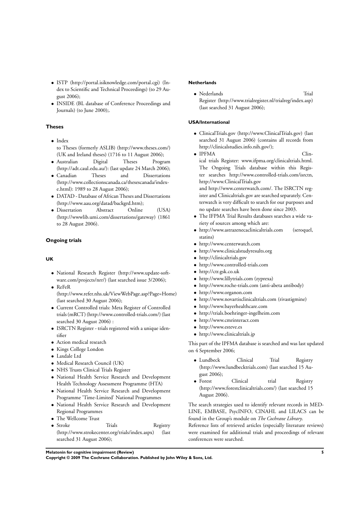- ISTP (http://portal.isiknowledge.com/portal.cgi) (Index to Scientific and Technical Proceedings) (to 29 August 2006);
- INSIDE (BL database of Conference Proceedings and Journals) (to June 2000);.

# **Theses**

- Index to Theses (formerly ASLIB) (http://www.theses.com/) (UK and Ireland theses) (1716 to 11 August 2006);
- Australian Digital Theses Program (http://adt.caul.edu.au/): (last update 24 March 2006);
- Canadian Theses and Dissertations (http://www.collectionscanada.ca/thesescanada/indexe.html): 1989 to 28 August 2006);
- DATAD Database of African Theses and Dissertations (http://www.aau.org/datad/backgrd.htm);
- Dissertation Abstract Online (USA) (http://wwwlib.umi.com/dissertations/gateway) (1861 to 28 August 2006).

# **Ongoing trials**

# **UK**

- National Research Register (http://www.update-software.com/projects/nrr/) (last searched issue 3/2006);
- ReFeR (http://www.refer.nhs.uk/ViewWebPage.asp?Page=Home) (last searched 30 August 2006);
- Current Controlled trials: Meta Register of Controlled trials (mRCT) (http://www.controlled-trials.com/) (last searched 30 August 2006) :
- ISRCTN Register trials registered with a unique identifier
- Action medical research
- Kings College London
- Laxdale Ltd
- Medical Research Council (UK)
- NHS Trusts Clinical Trials Register
- National Health Service Research and Development Health Technology Assessment Programme (HTA)
- National Health Service Research and Development Programme 'Time-Limited' National Programmes
- National Health Service Research and Development Regional Programmes
- The Wellcome Trust
- Stroke Trials Registry (http://www.strokecenter.org/trials/index.aspx) (last searched 31 August 2006);

# **Netherlands**

• Nederlands Trial Register (http://www.trialregister.nl/trialreg/index.asp) (last searched 31 August 2006);

# **USA/International**

- ClinicalTrials.gov (http://www.ClinicalTrials.gov) (last searched 31 August 2006) (contains all records from http://clinicalstudies.info.nih.gov/);
- IPFMA Clinical trials Register: www.ifpma.org/clinicaltrials.html. The Ongoing Trials database within this Register searches http://www.controlled-trials.com/isrctn, http://www.ClinicalTrials.gov

and http://www.centerwatch.com/. The ISRCTN register and Clinicaltrials.gov are searched separately. Centerwatch is very difficult to search for our purposes and no update searches have been done since 2003.

- The IFPMA Trial Results databases searches a wide variety of sources among which are:
- http://www.astrazenecaclinicaltrials.com (seroquel, statins)
- http://www.centerwatch.com
- http://www.clinicalstudyresults.org
- http://clinicaltrials.gov
- http://www.controlled-trials.com
- http://ctr.gsk.co.uk
- http://www.lillytrials.com (zyprexa)
- http://www.roche-trials.com (anti-abeta antibody)
- http://www.organon.com
- http://www.novartisclinicaltrials.com (rivastigmine)
- http://www.bayerhealthcare.com
- http://trials.boehringer-ingelheim.com
- http://www.cmrinteract.com
- http://www.esteve.es
- http://www.clinicaltrials.jp

This part of the IPFMA database is searched and was last updated on 4 September 2006;

- Lundbeck Clinical Trial Registry (http://www.lundbecktrials.com) (last searched 15 August 2006);
- Forest Clinical trial Registry (http://www.forestclinicaltrials.com/) (last searched 15 August 2006).

The search strategies used to identify relevant records in MED-LINE, EMBASE, PsycINFO, CINAHL and LILACS can be found in the Group's module on *The Cochrane Library*.

Reference lists of retrieved articles (especially literature reviews) were examined for additional trials and proceedings of relevant conferences were searched.

**Melatonin for cognitive impairment (Review) 5**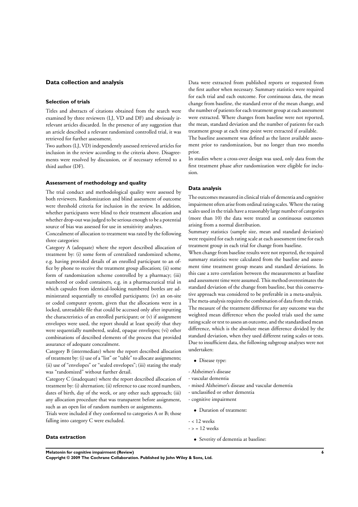# **Data collection and analysis**

# **Selection of trials**

Titles and abstracts of citations obtained from the search were examined by three reviewers (LJ, VD and DF) and obviously irrelevant articles discarded. In the presence of any suggestion that an article described a relevant randomized controlled trial, it was retrieved for further assessment.

Two authors (LJ, VD) independently assessed retrieved articles for inclusion in the review according to the criteria above. Disagreements were resolved by discussion, or if necessary referred to a third author (DF).

### **Assessment of methodology and quality**

The trial conduct and methodological quality were assessed by both reviewers. Randomization and blind assessment of outcome were threshold criteria for inclusion in the review. In addition, whether participants were blind to their treatment allocation and whether drop-out was judged to be serious enough to be a potential source of bias was assessed for use in sensitivity analyses.

Concealment of allocation to treatment was rated by the following three categories:

Category A (adequate) where the report described allocation of treatment by: (i) some form of centralized randomized scheme, e.g. having provided details of an enrolled participant to an office by phone to receive the treatment group allocation; (ii) some form of randomization scheme controlled by a pharmacy; (iii) numbered or coded containers, e.g. in a pharmaceutical trial in which capsules from identical-looking numbered bottles are administrated sequentially to enrolled participants; (iv) an on-site or coded computer system, given that the allocations were in a locked, unreadable file that could be accessed only after inputting the characteristics of an enrolled participant; or (v) if assignment envelopes were used, the report should at least specify that they were sequentially numbered, sealed, opaque envelopes; (vi) other combinations of described elements of the process that provided assurance of adequate concealment.

Category B (intermediate) where the report described allocation of treatment by: (i) use of a "list" or "table" to allocate assignments; (ii) use of "envelopes" or "sealed envelopes"; (iii) stating the study was "randomized" without further detail.

Category C (inadequate) where the report described allocation of treatment by: (i) alternation; (ii) reference to case record numbers, dates of birth, day of the week, or any other such approach; (iii) any allocation procedure that was transparent before assignment, such as an open list of random numbers or assignments.

Trials were included if they conformed to categories A or B; those falling into category C were excluded.

# **Data extraction**

**Melatonin for cognitive impairment (Review) 6**

**Copyright © 2009 The Cochrane Collaboration. Published by John Wiley & Sons, Ltd.**

Data were extracted from published reports or requested from the first author when necessary. Summary statistics were required for each trial and each outcome. For continuous data, the mean change from baseline, the standard error of the mean change, and the number of patients for each treatment group at each assessment were extracted. Where changes from baseline were not reported, the mean, standard deviation and the number of patients for each treatment group at each time point were extracted if available.

The baseline assessment was defined as the latest available assessment prior to randomization, but no longer than two months prior.

In studies where a cross-over design was used, only data from the first treatment phase after randomization were eligible for inclusion.

# **Data analysis**

The outcomes measured in clinical trials of dementia and cognitive impairment often arise from ordinal rating scales. Where the rating scales used in the trials have a reasonably large number of categories (more than 10) the data were treated as continuous outcomes arising from a normal distribution.

Summary statistics (sample size, mean and standard deviation) were required for each rating scale at each assessment time for each treatment group in each trial for change from baseline.

When change from baseline results were not reported, the required summary statistics were calculated from the baseline and assessment time treatment group means and standard deviations. In this case a zero correlation between the measurements at baseline and assessment time were assumed. This method overestimates the standard deviation of the change from baseline, but this conservative approach was considered to be preferable in a meta-analysis. The meta-analysis requires the combination of data from the trials. The measure of the treatment difference for any outcome was the weighted mean difference when the pooled trials used the same rating scale or test to assess an outcome, and the standardised mean difference, which is the absolute mean difference divided by the standard deviation, when they used different rating scales or tests. Due to insufficient data, the following subgroup analyses were not

• Disease type:

undertaken:

- Alzheimer's disease
- vascular dementia
- mixed Alzheimer's disease and vascular dementia
- unclassified or other dementia
- cognitive impairment
	- Duration of treatment:
- < 12 weeks
- $-$  > = 12 weeks
	- Severity of dementia at baseline: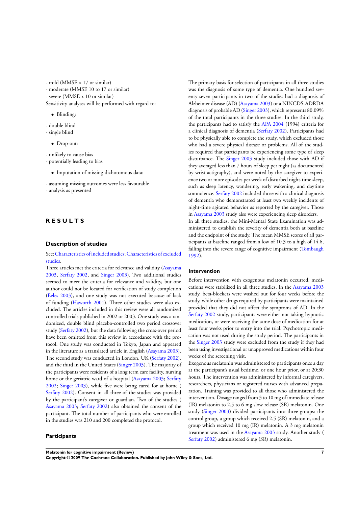- mild (MMSE > 17 or similar) - moderate (MMSE 10 to 17 or similar) - severe (MMSE < 10 or similar) Sensitivity analyses will be performed with regard to:

- Blinding:
- double blind
- single blind
	- Drop-out:

- unlikely to cause bias

- potentially leading to bias

• Imputation of missing dichotomous data:

- assuming missing outcomes were less favourable

- analysis as presented

# **R E S U L T S**

# **Description of studies**

# See:[Characteristics of included studies;](#page-19-0)[Characteristics of excluded](#page-21-0) [studies.](#page-21-0)

Three articles met the criteria for relevance and validity ([Asayama](#page-14-0) [2003](#page-14-0), [Serfaty 2002,](#page-14-0) and [Singer 2003](#page-14-0)). Two additional studies seemed to meet the criteria for relevance and validity, but one author could not be located for verification of study completion [\(Eeles 2003](#page-14-0)), and one study was not executed because of lack of funding [\(Haworth 2001\)](#page-14-0). Three other studies were also excluded. The articles included in this review were all randomized controlled trials published in 2002 or 2003. One study was a randomized, double blind placebo-controlled two period crossover study ([Serfaty 2002\)](#page-14-0), but the data following the cross-over period have been omitted from this review in accordance with the protocol. One study was conducted in Tokyo, Japan and appeared in the literature as a translated article in English ([Asayama 2003](#page-14-0)), The second study was conducted in London, UK ([Serfaty 2002](#page-14-0)), and the third in the United States [\(Singer 2003](#page-14-0)). The majority of the participants were residents of a long term care facility, nursing home or the geriatric ward of a hospital [\(Asayama 2003](#page-14-0); [Serfaty](#page-14-0) [2002](#page-14-0); [Singer 2003](#page-14-0)), while five were being cared for at home ( [Serfaty 2002](#page-14-0)). Consent in all three of the studies was provided by the participant's caregiver or guardian. Two of the studies ( [Asayama 2003](#page-14-0); [Serfaty 2002\)](#page-14-0) also obtained the consent of the participant. The total number of participants who were enrolled in the studies was 210 and 200 completed the protocol.

### **Participants**

The primary basis for selection of participants in all three studies was the diagnosis of some type of dementia. One hundred seventy seven participants in two of the studies had a diagnosis of Alzheimer disease (AD) [\(Asayama 2003\)](#page-14-0) or a NINCDS-ADRDA diagnosis of probable AD ([Singer 2003](#page-14-0)), which represents 80.09% of the total participants in the three studies. In the third study, the participants had to satisfy the [APA 2004](#page-14-0) (1994) criteria for a clinical diagnosis of dementia [\(Serfaty 2002\)](#page-14-0). Participants had to be physically able to complete the study, which excluded those who had a severe physical disease or problems. All of the studies required that participants be experiencing some type of sleep disturbance. The [Singer 2003](#page-14-0) study included those with AD if they averaged less than 7 hours of sleep per night (as documented by wrist actigraphy), and were noted by the caregiver to experience two or more episodes per week of disturbed night-time sleep, such as sleep latency, wandering, early wakening, and daytime somnolence. [Serfaty 2002](#page-14-0) included those with a clinical diagnosis of dementia who demonstrated at least two weekly incidents of night-time agitated behavior as reported by the caregiver. Those in [Asayama 2003](#page-14-0) study also were experiencing sleep disorders. In all three studies, the Mini-Mental State Examination was administered to establish the severity of dementia both at baseline and the endpoint of the study. The mean MMSE scores of all participants at baseline ranged from a low of 10.3 to a high of 14.6, falling into the severe range of cognitive impairment ([Tombaugh](#page-14-0)

### **Intervention**

[1992](#page-14-0)).

Before intervention with exogenous melatonin occurred, medications were stabilized in all three studies. In the [Asayama 2003](#page-14-0) study, beta-blockers were washed out for four weeks before the study, while other drugs required by participants were maintained provided that they did not affect the symptoms of AD. In the [Serfaty 2002](#page-14-0) study, participants were either not taking hypnotic medication, or were receiving the same dose of medication for at least four weeks prior to entry into the trial. Psychotropic medication was not used during the study period. The participants in the [Singer 2003](#page-14-0) study were excluded from the study if they had been using investigational or unapproved medications within four weeks of the screening visit.

Exogenous melatonin was administered to participants once a day at the participant's usual bedtime, or one hour prior, or at 20:30 hours. The intervention was administered by informal caregivers, researchers, physicians or registered nurses with advanced preparation. Training was provided to all those who administered the intervention. Dosage ranged from 3 to 10 mg of immediate release (IR) melatonin to 2.5 to 6 mg slow release (SR) melatonin. One study [\(Singer 2003](#page-14-0)) divided participants into three groups: the control group, a group which received 2.5 (SR) melatonin, and a group which received 10 mg (IR) melatonin. A 3 mg melatonin treatment was used in the [Asayama 2003](#page-14-0) study. Another study ( [Serfaty 2002](#page-14-0)) administered 6 mg (SR) melatonin.

**Melatonin for cognitive impairment (Review) 7**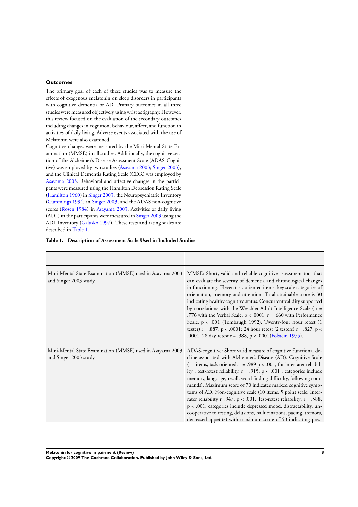# <span id="page-9-0"></span>**Outcomes**

The primary goal of each of these studies was to measure the effects of exogenous melatonin on sleep disorders in participants with cognitive dementia or AD. Primary outcomes in all three studies were measured objectively using wrist actigraphy. However, this review focused on the evaluation of the secondary outcomes including changes in cognition, behaviour, affect, and function in activities of daily living. Adverse events associated with the use of Melatonin were also examined.

Cognitive changes were measured by the Mini-Mental State Examination (MMSE) in all studies. Additionally, the cognitive section of the Alzheimer's Disease Assessment Scale (ADAS-Cognitive) was employed by two studies ([Asayama 2003](#page-14-0); [Singer 2003](#page-14-0)), and the Clinical Dementia Rating Scale (CDR) was employed by [Asayama 2003.](#page-14-0) Behavioral and affective changes in the participants were measured using the Hamilton Depression Rating Scale [\(Hamilton 1960](#page-14-0)) in [Singer 2003,](#page-14-0) the Neuropsychiatric Inventory [\(Cummings 1994](#page-14-0)) in [Singer 2003](#page-14-0), and the ADAS non-cognitive scores [\(Rosen 1984\)](#page-14-0) in [Asayama 2003.](#page-14-0) Activities of daily living (ADL) in the participants were measured in [Singer 2003](#page-14-0) using the ADL Inventory [\(Galasko 1997\)](#page-14-0). These tests and rating scales are described in Table 1.

# **Table 1. Description of Assessment Scale Used in Included Studies**

| Mini-Mental State Examination (MMSE) used in Asayama 2003<br>and Singer 2003 study. | MMSE: Short, valid and reliable cognitive assessment tool that<br>can evaluate the severity of dementia and chronological changes<br>in functioning. Eleven task oriented items, key scale categories of<br>orientation, memory and attention. Total attainable score is 30<br>indicating healthy cognitive status. Concurrent validity supported<br>by correlations with the Weschler Adult Intelligence Scale ( $r =$<br>.776 with the Verbal Scale, $p < .0001$ ; $r = .660$ with Performance<br>Scale, p < .001 (Tombaugh 1992). Twenty-four hour retest (1<br>tester) r = .887, p < .0001; 24 hour retest (2 testers) r = .827, p <<br>.0001, 28 day retest $r = .988$ , $p < .0001$ (Folstein 1975).                                                                                           |
|-------------------------------------------------------------------------------------|------------------------------------------------------------------------------------------------------------------------------------------------------------------------------------------------------------------------------------------------------------------------------------------------------------------------------------------------------------------------------------------------------------------------------------------------------------------------------------------------------------------------------------------------------------------------------------------------------------------------------------------------------------------------------------------------------------------------------------------------------------------------------------------------------|
| Mini-Mental State Examination (MMSE) used in Asayama 2003<br>and Singer 2003 study. | ADAS-cognitive: Short valid measure of cognitive functional de-<br>cline associated with Alzheimer's Disease (AD). Cognitive Scale<br>(11 items, task oriented, $r = .989$ p < .001, for interrater reliabil-<br>ity, test-retest reliability, $r = .915$ , $p < .001$ : categories include<br>memory, language, recall, word finding difficulty, following com-<br>mands). Maximum score of 70 indicates marked cognitive symp-<br>toms of AD. Non-cognitive scale (10 items, 5 point scale: Inter-<br>rater reliability $r=.947$ , $p < .001$ , Test-retest reliability: $r = .588$ ,<br>p < .001: categories include depressed mood, distractability, un-<br>cooperative to testing, delusions, hallucinations, pacing, tremors,<br>decreased appetite) with maximum score of 50 indicating pres- |

**Melatonin for cognitive impairment (Review) 8**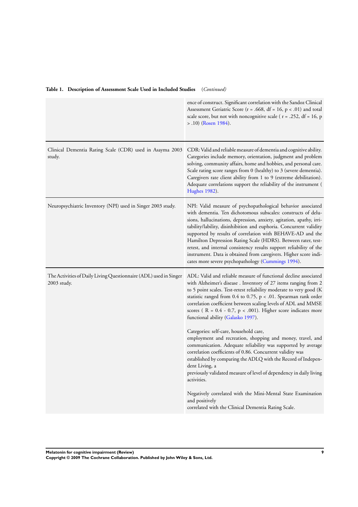# **Table 1. Description of Assessment Scale Used in Included Studies** (*Continued)*

|                                                                                  | ence of construct. Significant correlation with the Sandoz Clinical<br>Assessment Geriatric Score ( $r = .668$ , df = 16, $p < .01$ ) and total<br>scale score, but not with noncognitive scale ( $r = .252$ , df = 16, p<br>$> .10)$ (Rosen 1984).                                                                                                                                                                                                                                                                                                                                                                                                                                                                                                                                                                                                                                                                                                                                                                    |
|----------------------------------------------------------------------------------|------------------------------------------------------------------------------------------------------------------------------------------------------------------------------------------------------------------------------------------------------------------------------------------------------------------------------------------------------------------------------------------------------------------------------------------------------------------------------------------------------------------------------------------------------------------------------------------------------------------------------------------------------------------------------------------------------------------------------------------------------------------------------------------------------------------------------------------------------------------------------------------------------------------------------------------------------------------------------------------------------------------------|
| Clinical Dementia Rating Scale (CDR) used in Asayma 2003<br>study.               | CDR: Valid and reliable measure of dementia and cognitive ability.<br>Categories include memory, orientation, judgment and problem<br>solving, community affairs, home and hobbies, and personal care.<br>Scale rating score ranges from 0 (healthy) to 3 (severe dementia).<br>Caregivers rate client ability from 1 to 9 (extreme debilitation).<br>Adequate correlations support the reliability of the instrument (<br>Hughes 1982).                                                                                                                                                                                                                                                                                                                                                                                                                                                                                                                                                                               |
| Neuropsychiatric Inventory (NPI) used in Singer 2003 study.                      | NPI: Valid measure of psychopathological behavior associated<br>with dementia. Ten dichotomous subscales: constructs of delu-<br>sions, hallucinations, depression, anxiety, agitation, apathy, irri-<br>tability/lability, disinhibition and euphoria. Concurrent validity<br>supported by results of correlation with BEHAVE-AD and the<br>Hamilton Depression Rating Scale (HDRS). Between rater, test-<br>retest, and internal consistency results support reliability of the<br>instrument. Data is obtained from caregivers. Higher score indi-<br>cates more severe psychopathology (Cummings 1994).                                                                                                                                                                                                                                                                                                                                                                                                            |
| The Activities of Daily Living Questionnaire (ADL) used in Singer<br>2003 study. | ADL: Valid and reliable measure of functional decline associated<br>with Alzheimer's disease. Inventory of 27 items ranging from 2<br>to 5 point scales. Test-retest reliability moderate to very good (K<br>statistic ranged from 0.4 to 0.75, $p < .01$ . Spearman rank order<br>correlation coefficient between scaling levels of ADL and MMSE<br>scores ( $R = 0.4 - 0.7$ , $p < .001$ ). Higher score indicates more<br>functional ability (Galasko 1997).<br>Categories: self-care, household care,<br>employment and recreation, shopping and money, travel, and<br>communication. Adequate reliability was supported by average<br>correlation coefficients of 0.86. Concurrent validity was<br>established by comparing the ADLQ with the Record of Indepen-<br>dent Living, a<br>previously validated measure of level of dependency in daily living<br>activities.<br>Negatively correlated with the Mini-Mental State Examination<br>and positively<br>correlated with the Clinical Dementia Rating Scale. |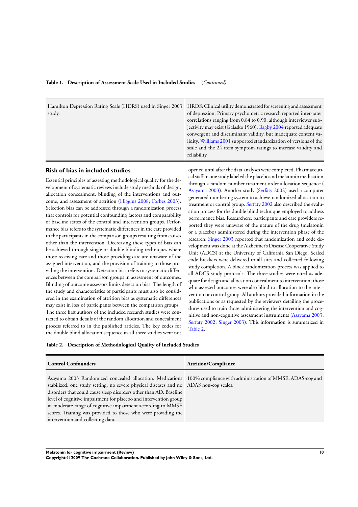| Hamilton Depression Rating Scale (HDRS) used in Singer 2003 HRDS: Clinical utility demonstrated for screening and assessment |                                                                    |
|------------------------------------------------------------------------------------------------------------------------------|--------------------------------------------------------------------|
| study.                                                                                                                       | of depression. Primary psychometric research reported inter-rater  |
|                                                                                                                              | correlations ranging from 0.84 to 0.90, although interviewer sub-  |
|                                                                                                                              | jectivity may exist (Galasko 1960). Bagby 2004 reported adequate   |
|                                                                                                                              | convergent and discriminant validity, but inadequate content va-   |
|                                                                                                                              | lidity. Williams 2001 supported standardization of versions of the |
|                                                                                                                              | scale and the 24 item symptom ratings to increase validity and     |
|                                                                                                                              | reliability.                                                       |
|                                                                                                                              |                                                                    |

### **Risk of bias in included studies**

Essential principles of assessing methodological quality for the development of systematic reviews include study methods of design, allocation concealment, blinding of the interventions and outcome, and assessment of attrition [\(Higgins 2008](#page-14-0); [Forbes 2003](#page-14-0)). Selection bias can be addressed through a randomization process that controls for potential confounding factors and comparability of baseline states of the control and intervention groups. Performance bias refers to the systematic differences in the care provided to the participants in the comparison groups resulting from causes other than the intervention. Decreasing these types of bias can be achieved through single or double blinding techniques where those receiving care and those providing care are unaware of the assigned intervention, and the provision of training to those providing the intervention. Detection bias refers to systematic differences between the comparison groups in assessment of outcomes. Blinding of outcome assessors limits detection bias. The length of the study and characteristics of participants must also be considered in the examination of attrition bias as systematic differences may exist in loss of participants between the comparison groups. The three first authors of the included research studies were contacted to obtain details of the random allocation and concealment process referred to in the published articles. The key codes for the double blind allocation sequence in all three studies were not opened until after the data analyses were completed. Pharmaceutical staff in one study labeled the placebo and melatonin medication through a random number treatment order allocation sequence ( [Asayama 2003\)](#page-14-0). Another study ([Serfaty 2002\)](#page-14-0) used a computer generated numbering system to achieve randomized allocation to treatment or control group. [Serfaty 2002](#page-14-0) also described the evaluation process for the double blind technique employed to address performance bias. Researchers, participants and care providers reported they were unaware of the nature of the drug (melatonin or a placebo) administered during the intervention phase of the research. [Singer 2003](#page-14-0) reported that randomization and code development was done at the Alzheimer's Disease Cooperative Study Unit (ADCS) at the University of California San Diego. Sealed code breakers were delivered to all sites and collected following study completion. A block randomization process was applied to all ADCS study protocols. The three studies were rated as adequate for design and allocation concealment to intervention; those who assessed outcomes were also blind to allocation to the intervention or control group. All authors provided information in the publications or as requested by the reviewers detailing the procedures used to train those administering the intervention and cognitive and non-cognitive assessment instruments [\(Asayama 2003;](#page-14-0) [Serfaty 2002](#page-14-0); [Singer 2003](#page-14-0)). This information is summarized in Table 2.

**Table 2. Description of Methodological Quality of Included Studies**

| <b>Control Confounders</b>                                                                                                                                                                                                                                                                                                                                                                            | <b>Attrition/Compliance</b>                                                                                         |
|-------------------------------------------------------------------------------------------------------------------------------------------------------------------------------------------------------------------------------------------------------------------------------------------------------------------------------------------------------------------------------------------------------|---------------------------------------------------------------------------------------------------------------------|
| stabilized, one study setting, no severe physical diseases and no ADAS non-cog scales.<br>disorders that could cause sleep disorders other than AD. Baseline<br>level of cognitive impairment for placebo and intervention group<br>in moderate range of cognitive impairment according to MMSE<br>scores. Training was provided to those who were providing the<br>intervention and collecting data. | Asayama 2003 Randomized concealed allocation. Medications 100% compliance with administration of MMSE, ADAS-cog and |

**Melatonin for cognitive impairment (Review) 10**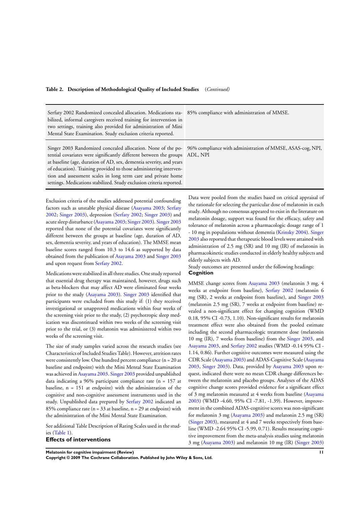| Serfaty 2002 Randomized concealed allocation. Medications sta- 85% compliance with administration of MMSE.<br>bilized, informal caregivers received training for intervention in<br>two settings, training also provided for administration of Mini<br>Mental State Examination. Study exclusion criteria reported.                                              |                                                                                                                         |
|------------------------------------------------------------------------------------------------------------------------------------------------------------------------------------------------------------------------------------------------------------------------------------------------------------------------------------------------------------------|-------------------------------------------------------------------------------------------------------------------------|
| tential covariates were significantly different between the groups ADL, NPI<br>at baseline (age, duration of AD, sex, dementia severity, and years<br>of education). Training provided to those administering interven-<br>tion and assessment scales in long term care and private home<br>settings. Medications stabilized. Study exclusion criteria reported. | Singer 2003 Randomized concealed allocation. None of the po- 96% compliance with administration of MMSE, ASAS-cog, NPI, |

Exclusion criteria of the studies addressed potential confounding factors such as unstable physical disease [\(Asayama 2003](#page-14-0); [Serfaty](#page-14-0) [2002](#page-14-0); [Singer 2003](#page-14-0)), depression [\(Serfaty 2002;](#page-14-0) [Singer 2003\)](#page-14-0) and acute sleep disturbance [\(Asayama 2003](#page-14-0); [Singer 2003](#page-14-0)). [Singer 2003](#page-14-0) reported that none of the potential covariates were significantly different between the groups at baseline (age, duration of AD, sex, dementia severity, and years of education). The MMSE mean baseline scores ranged from 10.3 to 14.6 as supported by data obtained from the publication of [Asayama 2003](#page-14-0) and [Singer 2003](#page-14-0) and upon request from [Serfaty 2002](#page-14-0).

Medications were stabilized in all three studies. One study reported that essential drug therapy was maintained, however, drugs such as beta-blockers that may affect AD were eliminated four weeks prior to the study [\(Asayama 2003](#page-14-0)). [Singer 2003](#page-14-0) identified that participants were excluded from this study if: (1) they received investigational or unapproved medications within four weeks of the screening visit prior to the study, (2) psychotropic sleep medication was discontinued within two weeks of the screening visit prior to the trial, or (3) melatonin was administered within two weeks of the screening visit.

The size of study samples varied across the research studies (see Characteristics of Included Studies Table). However, attrition rates were consistently low. One hundred percent compliance (n = 20 at baseline and endpoint) with the Mini Mental State Examination was achieved in [Asayama 2003.](#page-14-0) [Singer 2003](#page-14-0) provided unpublished data indicating a 96% participant compliance rate (n = 157 at baseline, n = 151 at endpoint) with the administration of the cognitive and non-cognitive assessment instruments used in the study. Unpublished data prepared by [Serfaty 2002](#page-14-0) indicated an 85% compliance rate ( $n = 33$  at baseline,  $n = 29$  at endpoint) with the administration of the Mini Mental State Examination.

See additional Table Description of Rating Scales used in the studies [\(Table 1\)](#page-9-0).

# **Effects of interventions**

**Melatonin for cognitive impairment (Review) 11**

**Copyright © 2009 The Cochrane Collaboration. Published by John Wiley & Sons, Ltd.**

Data were pooled from the studies based on critical appraisal of the rationale for selecting the particular dose of melatonin in each study. Although no consensus appeared to exist in the literature on melatonin dosage, support was found for the efficacy, safety and tolerance of melatonin across a pharmacologic dosage range of 1 - 10 mg in populations without dementia ([Krinsky 2004](#page-14-0)). [Singer](#page-14-0) [2003](#page-14-0) also reported that therapeutic blood levels were attained with administration of 2.5 mg (SR) and 10 mg (IR) of melatonin in pharmacokinetic studies conducted in elderly healthy subjects and elderly subjects with AD.

Study outcomes are presented under the following headings: **Cognition**

MMSE change scores from [Asayama 2003](#page-14-0) (melatonin 3 mg, 4 weeks at endpoint from baseline), [Serfaty 2002](#page-14-0) (melatonin 6 mg (SR), 2 weeks at endpoint from baseline), and [Singer 2003](#page-14-0) (melatonin 2.5 mg (SR), 7 weeks at endpoint from baseline) revealed a non-significant effect for changing cognition (WMD 0.18, 95% CI -0.73, 1.10). Non-significant results for melatonin treatment effect were also obtained from the pooled estimate including the second pharmacologic treatment dose (melatonin 10 mg (IR), 7 weeks from baseline) from the [Singer 2003,](#page-14-0) and [Asayama 2003,](#page-14-0) and [Serfaty 2002](#page-14-0) studies (WMD -0.14 95% CI - 1.14, 0.86). Further cognitive outcomes were measured using the CDR Scale ([Asayama 2003\)](#page-14-0) and ADAS-Cognitive Scale ([Asayama](#page-14-0) [2003](#page-14-0), [Singer 2003\)](#page-14-0). Data, provided by [Asayama 2003](#page-14-0) upon request, indicated there were no mean CDR change differences between the melatonin and placebo groups. Analyses of the ADAS cognitive change scores provided evidence for a significant effect of 3 mg melatonin measured at 4 weeks from baseline ([Asayama](#page-14-0) [2003](#page-14-0)) (WMD -4.60, 95% CI -7.81, -1.39). However, improvement in the combined ADAS-cognitive scores was non-significant for melatonin 3 mg [\(Asayama 2003](#page-14-0)) and melatonin 2.5 mg (SR) [\(Singer 2003](#page-14-0)), measured at 4 and 7 weeks respectively from baseline (WMD -2.64 95% CI -5.99, 0.71). Results measuring cognitive improvement from the meta-analysis studies using melatonin 3 mg ([Asayama 2003](#page-14-0)) and melatonin 10 mg (IR) ([Singer 2003](#page-14-0))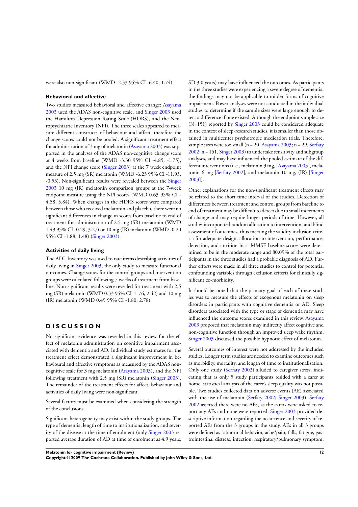were also non-significant (WMD -2.33 95% CI -6.40, 1.74).

### **Behavioral and affective**

Two studies measured behavioral and affective change: [Asayama](#page-14-0) [2003](#page-14-0) used the ADAS non-cognitive scale, and [Singer 2003](#page-14-0) used the Hamilton Depression Rating Scale (HDRS), and the Neuropsychiatric Inventory (NPI). The three scales appeared to measure different constructs of behaviour and affect, therefore the change scores could not be pooled. A significant treatment effect for administration of 3 mg of melatonin [\(Asayama 2003](#page-14-0)) was supported in the analyses of the ADAS non-cognitive change score at 4 weeks from baseline (WMD -3.30 95% CI -4.85, -1.75), and the NPI change score [\(Singer 2003\)](#page-14-0) at the 7 week endpoint measure of 2.5 mg (SR) melatonin (WMD -6.23 95% CI -11.93, -0.53). Non-significant results were revealed between the [Singer](#page-14-0) [2003](#page-14-0) 10 mg (IR) melatonin comparison groups at the 7-week endpoint measure using the NPI scores (WMD 0.63 95% CI - 4.58, 5.84). When changes in the HDRS scores were compared between those who received melatonin and placebo, there were no significant differences in change in scores from baseline to end of treatment for administration of 2.5 mg (SR) melatonin (WMD 1.49 95% CI -0.29, 3.27) or 10 mg (IR) melatonin (WMD -0.20 95% CI -1.88, 1.48) [\(Singer 2003\)](#page-14-0).

### **Activities of daily living**

The ADL Inventory was used to rate items describing activities of daily living in [Singer 2003,](#page-14-0) the only study to measure functional outcomes. Change scores for the control groups and intervention groups were calculated following 7 weeks of treatment from baseline. Non-significant results were revealed for treatment with 2.5 mg (SR) melatonin (WMD 0.33 95% CI -1.76, 2.42) and 10 mg (IR) melatonin (WMD 0.49 95% CI -1.80, 2.78).

# **D I S C U S S I O N**

No significant evidence was revealed in this review for the effect of melatonin administration on cognitive impairment associated with dementia and AD. Individual study estimates for the treatment effect demonstrated a significant improvement in behavioural and affective symptoms as measured by the ADAS noncognitive scale for 3 mg melatonin [\(Asayama 2003\)](#page-14-0), and the NPI following treatment with 2.5 mg (SR) melatonin ([Singer 2003](#page-14-0)). The remainder of the treatment effects for affect, behaviour and activities of daily living were non-significant.

Several factors must be examined when considering the strength of the conclusions.

Significant heterogeneity may exist within the study groups. The type of dementia, length of time to institutionalization, and severity of the disease at the time of enrolment (only [Singer 2003](#page-14-0) reported average duration of AD at time of enrolment as 4.9 years, SD 3.0 years) may have influenced the outcomes. As participants in the three studies were experiencing a severe degree of dementia, the findings may not be applicable to milder forms of cognitive impairment. Power analyses were not conducted in the individual studies to determine if the sample sizes were large enough to detect a difference if one existed. Although the endpoint sample size (N=151) reported by [Singer 2003](#page-14-0) could be considered adequate in the context of sleep-research studies, it is smaller than those obtained in multicenter psychotropic medication trials. Therefore, sample sizes were too small ( $n = 20$ , [Asayama 2003;](#page-14-0)  $n = 29$ , [Serfaty](#page-14-0) [2002](#page-14-0); n = 151, [Singer 2003\)](#page-14-0) to undertake sensitivity and subgroup analyses, and may have influenced the pooled estimate of the different interventions (i. e., melatonin 3 mg, [[Asayama 2003](#page-14-0)], melatonin 6 mg [[Serfaty 2002\]](#page-14-0), and melatonin 10 mg, (IR) [\[Singer](#page-14-0) [2003](#page-14-0)]).

Other explanations for the non-significant treatment effects may be related to the short time interval of the studies. Detection of differences between treatment and control groups from baseline to end of treatment may be difficult to detect due to small increments of change and may require longer periods of time. However, all studies incorporated random allocation to intervention, and blind assessment of outcomes, thus meeting the validity inclusion criteria for adequate design, allocation to intervention, performance, detection, and attrition bias. MMSE baseline scores were determined to be in the moderate range and 80.09% of the total participants in the three studies had a probable diagnosis of AD. Further efforts were made in all three studies to control for potential confounding variables through exclusion criteria for clinically significant co-morbidity.

It should be noted that the primary goal of each of these studies was to measure the effects of exogenous melatonin on sleep disorders in participants with cognitive dementia or AD. Sleep disorders associated with the type or stage of dementia may have influenced the outcome scores examined in this review. [Asayama](#page-14-0) [2003](#page-14-0) proposed that melatonin may indirectly affect cognitive and non-cognitive function through an improved sleep wake rhythm. [Singer 2003](#page-14-0) discussed the possible hypnotic effect of melatonin.

Several outcomes of interest were not addressed by the included studies. Longer term studies are needed to examine outcomes such as morbidity, mortality, and length of time to institutionalization. Only one study ([Serfaty 2002\)](#page-14-0) alluded to caregiver stress, indicating that as only 5 study participants resided with a carer at home, statistical analysis of the carer's sleep quality was not possible. Two studies collected data on adverse events (AE) associated with the use of melatonin [\(Serfaty 2002](#page-14-0); [Singer 2003\)](#page-14-0). [Serfaty](#page-14-0) [2002](#page-14-0) asserted there were no AEs, as the carers were asked to report any AEs and none were reported. [Singer 2003](#page-14-0) provided descriptive information regarding the occurrence and severity of reported AEs from the 3 groups in the study. AEs in all 3 groups were defined as "abnormal behavior, ache/pain, falls, fatigue, gastrointestinal distress, infection, respiratory/pulmonary symptom,

**Melatonin for cognitive impairment (Review) 12**

**Copyright © 2009 The Cochrane Collaboration. Published by John Wiley & Sons, Ltd.**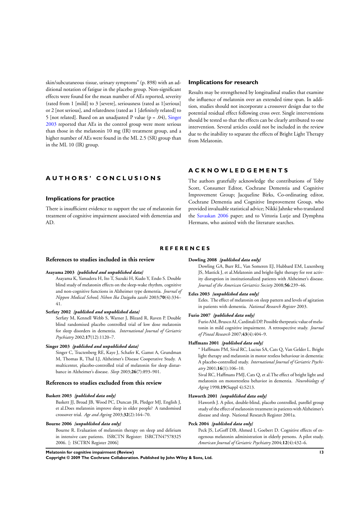<span id="page-14-0"></span>skin/subcutaneous tissue, urinary symptoms" (p. 898) with an additional notation of fatigue in the placebo group. Non-significant effects were found for the mean number of AEs reported, severity (rated from 1 [mild] to 3 [severe], seriousness (rated as 1[serious] or 2 [not serious], and relatedness (rated as 1 [definitely related] to 5 [not related]. Based on an unadjusted P value (p = .04), Singer 2003 reported that AEs in the control group were more serious than those in the melatonin 10 mg (IR) treatment group, and a higher number of AEs were found in the ML 2.5 (SR) group than in the ML 10 (IR) group.

### **Implications for research**

Results may be strengthened by longitudinal studies that examine the influence of melatonin over an extended time span. In addition, studies should not incorporate a crossover design due to the potential residual effect following cross over. Single interventions should be tested so that the effects can be clearly attributed to one intervention. Several articles could not be included in the review due to the inability to separate the effects of Bright Light Therapy from Melatonin.

# **A U T H O R S ' C O N C L U S I O N S**

# **Implications for practice**

There is insufficient evidence to support the use of melatonin for treatment of cognitive impairment associated with dementias and AD.

# **A C K N O W L E D G E M E N T S**

The authors gratefully acknowledge the contributions of Toby Scott, Consumer Editor, Cochrane Dementia and Cognitive Improvement Group; Jacqueline Birks, Co-ordinating editor, Cochrane Dementia and Cognitive Improvement Group, who provided invaluable statistical advice; Nikki Jahnke who translated the Savaskan 2006 paper; and to Vittoria Lutje and Dymphna Hermans, who assisted with the literature searches.

### **R E F E R E N C E S**

# **References to studies included in this review**

#### **Asayama 2003** *{published and unpublished data}*

Asayama K, Yamadera H, Ito T, Suzuki H, Kudo Y, Endo S. Double blind study of melatonin effects on the sleep-wake rhythm, cognitive and non-cognitive functions in Alzheimer type dementia. *Journal of Nippon Medical School; Nihon Ika Daigaku zasshi* 2003;**70**(4):334– 41.

### **Serfaty 2002** *{published and unpublished data}*

Serfaty M, Kennell Webb S, Warner J, Blizard R, Raven P. Double blind randomised placebo controlled trial of low dose melatonin for sleep disorders in dementia. *International Journal of Geriatric Psychiatry* 2002;**17**(12):1120–7.

### **Singer 2003** *{published and unpublished data}*

Singer C, Tractenberg RE, Kaye J, Schafer K, Gamst A, Grundman M, Thomas R, Thal LJ, Alzheimer's Disease Cooperative Study. A multicenter, placebo-controlled trial of melatonin for sleep disturbance in Alzheimer's disease. *Sleep* 2003;**26**(7):893–901.

#### **References to studies excluded from this review**

#### **Baskett 2003** *{published data only}*

Baskett JJ, Broad JB, Wood PC, Duncan JR, Pledger MJ, English J, et al.Does melatonin improve sleep in older people? A randomised crossover trial. *Age and Ageing* 2003;**32**(2):164–70.

#### **Bourne 2006** *{unpublished data only}*

Bourne R. Evaluation of melatonin therapy on sleep and delirium in intensive care patients. ISRCTN Register: ISRCTN47578325 2006. [: ISCTRN Register 2006]

### **Melatonin for cognitive impairment (Review) 13**

**Copyright © 2009 The Cochrane Collaboration. Published by John Wiley & Sons, Ltd.**

#### **Dowling 2008** *{published data only}*

Dowling GA, Burr RL, Van Someren EJ, Hubbard EM, Luxenberg JS, Mastick J, et al.Melatonin and bright-light therapy for rest activity disruption in institutionalized patients with Alzheimer's disease. *Journal of the American Geriatrics Society* 2008;**56**:239–46.

# **Eeles 2003** *{unpublished data only}*

Eeles. The effect of melatonin on sleep pattern and levels of agitation in patients with dementia. *National Research Register* 2003.

### **Furio 2007** *{published data only}*

Furio AM, Brusco AI, Cardinali DP. Possible therpeutic value ofmelatonin in mild cognitive impairment. A retrospective study. *Journal of Pineal Research* 2007;**43**(4):404–9.

### **Haffmans 2001** *{published data only}*

<sup>∗</sup> Haffmans PM, Sival RC, Lucius SA, Cats Q, Van Gelder L. Bright light therapy and melatonin in motor restless behaviour in dementia: A placebo-controlled study. *International Journal of Geriatric Psychiatry* 2001;**16**(1):106–10.

Sival RC, Haffmans PMJ, Cats Q, et al.The effect of bright light and melatonin on motorrestless behavior in dementia. *Neurobiology of Aging* 1998;**19**(Suppl 4):S213.

#### **Haworth 2001** *{unpublished data only}*

Haworth J. A pilot, double-blind, placebo controlled, parellel group study of the effect of melatonin treatment in patients with Alzheimer's disease and sleep. National Research Register 2001a.

#### **Peck 2004** *{published data only}*

Peck JS, LeGoff DB, Ahmed I, Goebert D. Cognitive effects of exogenous melatonin administration in elderly persons. A pilot study. *American Journal of Geriatric Psychiatry* 2004;**12**(4):432–6.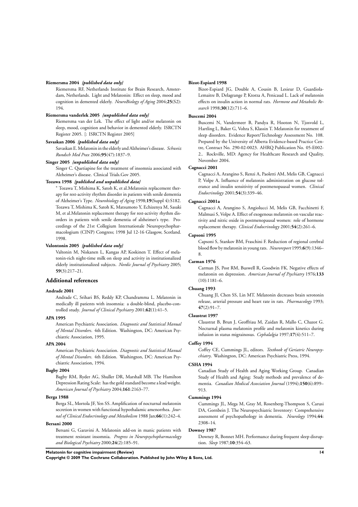### **Riemersma 2004** *{published data only}*

Riemersma RF, Netherlands Institute for Brain Research, Amsterdam, Netherlands. Light and Melatonin: Effect on sleep, mood and cognition in demented elderly. *NeuroBiology of Aging* 2004;**25**(S2): 194.

# **Riemersma vanderlek 2005** *{unpublished data only}*

Riemersma van der Lek. The effect of light and/or melatonin on sleep, mood, cognition and behavior in demented elderly. ISRCTN Register 2005. [: ISRCTN Register 2005]

# **Savaskan 2006** *{published data only}*

Savaskan E. Melatonin in the elderly and Alzheimer's disease. *Schweiz Rundsch Med Prax* 2006;**95**(47):1837–9.

### **Singer 2005** *{unpublished data only}*

Singer C. Quetiapine for the treatment of insomnia associated with Alzheimer's disease. Clinical Trials.Gov 2005.

#### **Tozawa 1998** *{published and unpublished data}*

<sup>∗</sup> Tozawa T, Mishima K, Satoh K, et al.Melatonin replacement therapy for rest-activity rhythm disorder in patients with senile dementia of Alzheimer's Type. *Neurobiology of Aging* 1998;**19**(Suppl 4):S182. Tozawa T, Mishima K, Satoh K, Matsumoto Y, Echizenya M, Sasaki M, et al.Melatonin replacement therapy for rest-activity rhythm disorders in patients with senile dementia of alzheimer's type. Proceedings of the 21st Collegium Internationale Neuropsychopharmacologium (CINP) Congress; 1998 Jul 12-16 Glasgow, Scotland. 1998.

#### **Valontonin 2005** *{published data only}*

Valtonin M, Niskanen L, Kangas AP, Koskinen T. Effect of melatonin-rich night-time milk on sleep and activity in institutionalized elderly institutionalized subjects. *Nordic Journal of Psychiatry* 2005; **59**(3):217–21.

# **Additional references**

# **Andrade 2001**

Andrade C, Srihari BS, Reddy KP, Chandramma L. Melatonin in medically ill patients with insomnia: a double-blind, placebo-controlled study. *Journal of Clinical Psychiatry* 2001;**62**(1):41–5.

# **APA 1995**

American Psychiatric Association. *Diagnostic and Statistical Manual of Mental Disorders*. 4th Edition. Washington, DC: American Psychiatric Association, 1995.

#### **APA 2004**

American Psychiatric Association. *Diagnostic and Statistical Manual of Mental Disorders*. 4th Edition. Washington, DC: American Psychiatric Association, 1994.

# **Bagby 2004**

Bagby RM, Ryder AG, Shuller DR, Marshall MB. The Hamilton Depression Rating Scale: has the gold standard become a lead weight. *American Journal of Psychiatry* 2004;**161**:2163–77.

# **Berga 1988**

Berga SL, Mortola JF, Yen SS. Amplification of nocturnal melatonin secretion in women with functional hypothalamic amenorrhea. *Journal of Clinical Endocrinology and Metabolism* 1988 Jan;**66**(1):242–4.

### **Bersani 2000**

Bersani G, Garavini A. Melatonin add-on in manic patients with treatment resistant insomnia. *Progress in Neuropsychopharmacology and Biological Psychiatry* 2000;**24**(2):185–91.

# **Melatonin for cognitive impairment (Review) 14**

**Copyright © 2009 The Cochrane Collaboration. Published by John Wiley & Sons, Ltd.**

#### **Bizot-Espiard 1998**

Bizot-Espiard JG, Double A, Cousin B, Lesieur D, Guardiola-Lemaitre B, Delagrange P, Ktorza A, Penicaud L. Lack of melatonin effects on insulin action in normal rats. *Hormone and Metabolic Research* 1998;**30**(12):711–6.

### **Buscemi 2004**

Buscemi N, Vandermeer B, Pandya R, Hooton N, Tjosvold L, Hartling L, Baker G, Vohra S, Klassin T. Melatonin for treatment of sleep disorders. Evidence Report/Technology Assessment No. 108. Prepared by the University of Alberta Evidence-based Practice Centre, Contract No. 290-02-0023. AHRQ Publication No. 05-E002- 2.. Rockville, MD: Agency for Healthcare Research and Quality, November 2004.

# **Cagnacci 2001**

Cagnacci A, Arangino S, Renzi A, Paoletti AM, Melis GB, Cagnacci P, Volpe A. Influence of melatonin administration on glucose tolerance and insulin sensitivity of postmenopausal women. *Clinical Endocrinology* 2001;**54**(3):339–46.

# **Cagnacci 2001a**

Cagnacci A, Arangino S, Angiolucci M, Melis GB, Facchinetti F, Malmusi S, Volpe A. Effect of exogenous melatonin on vascular reactivity and nitric oxide in postmenopausal women: role of hormone replacement therapy. *Clinical Endocrinology* 2001;**54**(2):261–6.

#### **Capsoni 1995**

Capsoni S, Stankov BM, Fraschini F. Reduction of regional cerebral blood flow by melatonin in young rats. *Neuroreport* 1995;**6**(9):1346– 8.

#### **Carman 1976**

Carman JS, Post RM, Buswell R, Goodwin FK. Negative effects of melatonin on depression. *American Journal of Psychiatry* 1976;**133** (10):1181–6.

#### **Chuang 1993**

Chuang JI, Chen SS, Lin MT. Melatonin decreases brain serotonin release, arterial pressure and heart rate in rats. *Pharmacology* 1993; **47**(2):91–7.

### **Claustrat 1997**

Claustrat B, Brun J, Geoffriau M, Zaidan R, Mallo C, Chazot G. Nocturnal plasma melatonin profile and melatonin kinetics during infusion in status migrainosus. *Cephalalgia* 1997;**17**(4):511–7.

#### **Coffey 1994**

Coffey CE, Cummings JL, editors. *Textbook of Geriatric Neuropsychiatry*. Washington, DC: American Psychiatric Press, 1994.

#### **CSHA 1994**

Canadian Study of Health and Aging Working Group. Canadian Study of Health and Aging: Study methods and prevalence of dementia. *Canadian Medical Association Journal* (1994);**150**(6):899– 913.

# **Cummings 1994**

Cummings JL, Mega M, Gray M, Rosenberg-Thompson S, Carusi DA, Gornbein J. The Neuropsychiatric Inventory: Comprehensive assessment of psychopathology in dementia. *Neurology* 1994;**44**: 2308–14.

#### **Downey 1987**

Downey R, Bonnet MH. Performance during frequent sleep disruption. *Sleep* 1987;**10**:354–63.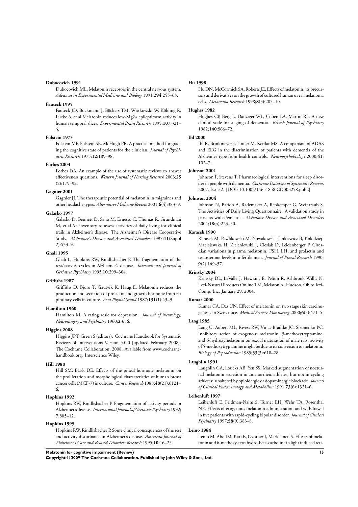### **Dubocovich 1991**

Dubocovich ML. Melatonin receptors in the central nervous system. *Advances in Experimental Medicine and Biology* 1991;**294**:255–65.

# **Fauteck 1995**

Fauteck JD, Bockmann J, Böckers TM, Wittkowski W, Köhling R, Lücke A, et al.Melatonin reduces low-Mg2+ epileptiform activity in human temporal slices. *Experimental Brain Research* 1995;**107**:321– 5.

#### **Folstein 1975**

Folstein MF, Folstein SE, McHugh PR. A practical method for grading the cognitive state of patients for the clinician. *Journal of Psychiatric Research* 1975;**12**:189–98.

#### **Forbes 2003**

Forbes DA. An example of the use of systematic reviews to answer effectiveness questions. *Western Journal of Nursing Research* 2003;**25**  $(2):179-92.$ 

# **Gagnier 2001**

Gagnier JJ. The therapeutic potential of melatonin in migraines and other headache types. *Alternative Medicine Review* 2001;**6**(4):383–9.

#### **Galasko 1997**

Galasko D, Bennett D, Sano M, Ernesto C, Thomas R, Grundman M, et al.An inventory to assess activities of daily living for clinical trails in Alzheimer's disease: The Alzheimer's Disease Cooperative Study. *Alzheimer's Disease and Associated Disorders* 1997;**11**(Suppl 2):S33–9.

#### **Ghali 1995**

Ghali L, Hopkins RW, Rindlisbacher P. The fragmentation of the rest/activity cycles in Alzheimer's disease. *International Journal of Geriatric Psychiatry* 1995;**10**:299–304.

#### **Griffiths 1987**

Griffiths D, Bjoro T, Gautvik K, Haug E. Melatonin reduces the production and secretion of prolactin and growth hormone from rat pituitary cells in culture. *Acta Physiol Scand* 1987;**131**(1):43–9.

#### **Hamilton 1960**

Hamilton M. A rating scale for depression. *Journal of Neurology, Neurosurgery and Psychiatry* 1960;**23**:56.

#### **Higgins 2008**

Higgins JPT, Green S (editors). Cochrane Handbook for Systematic Reviews of Interventions Version 5.0.0 [updated February 2008]. The Cochrane Collaboration, 2008. Available from www.cochranehandbook.org. Interscience Wiley.

#### **Hill 1988**

Hill SM, Blask DE. Effects of the pineal hormone melatonin on the proliferation and morphological characteristics of human breast cancer cells (MCF-7) in culture. *Cancer Research* 1988;**48**(21):6121– 6.

#### **Hopkins 1992**

Hopkins RW, Rindlisbacher P. Fragmentation of activity periods in Alzheimer's disease. *International Journal of Geriatric Psychiatry* 1992; **7**:805–12.

#### **Hopkins 1995**

Hopkins RW, Rindlisbacher P. Some clinical consequences of the rest and activity disturbance in Alzheimer's disease. *American Journal of Alzheimer's Care and Related Disorders Research* 1995;**10**:16–25.

#### **Hu 1998**

Hu DN, McCormick SA, Roberts JE. Effects of melatonin, its precursors and derivatives on the growth of cultured human uveal melanoma cells. *Melanoma Research* 1998;**8**(3):205–10.

### **Hughes 1982**

Hughes CP, Berg L, Danziger WL, Coben LA, Martin RL. A new clinical scale for staging of dementia. *British Journal of Psychiatry* 1982;**140**:566–72.

#### **Ihl 2000**

Ihl R, Brinkmeyer J, Janner M, Kerdar MS. A comparison of ADAS and EEG in the discrimination of patients with dementia of the Alzheimer type from health controls. *Neuropsychobiology* 2000;**41**: 102–7.

#### **Johnson 2001**

Johnson F, Stevens T. Pharmacological interventions for sleep disorder in people with dementia. *Cochrane Database of Systematic Reviews* 2007, Issue 2. [DOI: 10.1002/14651858.CD003258.pub2]

#### **Johnson 2004**

Johnson N, Barion A, Rademaker A, Rehkemper G, Weintraub S. The Activities of Daily Living Questionnaire: A validation study in patients with dementia. *Alzheimer Disease and Associated Disorders* 2004;**18**(4):223–30.

#### **Karasek 1990**

Karasek M, Pawlikowski M, Nowakowska-Jankiewicz B, Kolodziej-Maciejewska H, Zieleniewski J, Cieslak D, Leidenberger F. Circadian variations in plasma melatonin, FSH, LH, and prolactin and testosterone levels in infertile men. *Journal of Pineal Research* 1990; **9**(2):149–57.

# **Krinsky 2004**

Krinsky DL, LaValle J, Hawkins E, Pelton R, Ashbrook Willis N. Lexi-Natural Products Online TM, Melatonin. Hudson, Ohio: lexi-Comp, Inc. January 29, 2004.

### **Kumar 2000**

Kumar CA, Das UN. Effect of melatonin on two stage skin carcinogenesis in Swiss mice. *Medical Science Monitoring* 2000;**6**(3):471–5.

#### **Lang 1985**

Lang U, Aubert ML, Rivest RW, Vinas-Bradtke JC, Sizonenko PC. Inhibitory action of exogenous melatonin, 5-methoxytryptamine, and 6-hydroxymelatonin on sexual maturation of male rats: activity of 5-methoxytryptamine might be due to its conversion to melatonin. *Biology of Reproduction* 1985;**33**(3):618–28.

#### **Laughlin 1991**

Laughlin GA, Loucks AB, Yen SS. Marked augmentation of nocturnal melatonin secretion in amenorrheic athletes, but not in cycling athletes: unaltered by opioidergic or dopaminergic blockade. *Journal of Clinical Endocrinology and Metabolism* 1991;**73**(6):1321–6.

#### **Leibenluft 1997**

Leibenluft E, Feldman-Naim S, Turner EH, Wehr TA, Rosenthal NE. Effects of exogenous melatonin administration and withdrawal in five patients with rapid-cycling bipolar disorder. *Journal of Clinical Psychiatry* 1997;**58**(9):383–8.

#### **Leino 1984**

Leino M, Aho IM, Kari E, Gynther J, Markkanen S. Effects of melatonin and 6-methoxy-tetrahydro-beta-carboline in light induced reti-

# **Melatonin for cognitive impairment (Review) 15**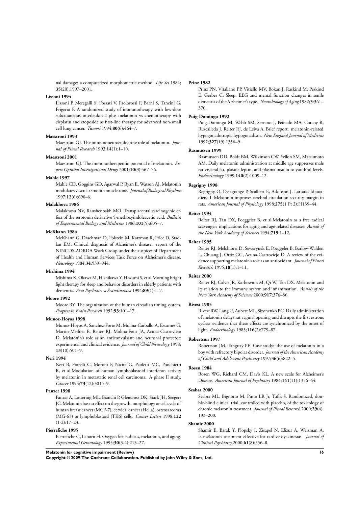nal damage: a computerized morphometric method. *Life Sci* 1984; **35**(20):1997–2001.

# **Lissoni 1994**

Lissoni P, Meregalli S, Fossati V, Paolorossi F, Barni S, Tancini G, Frigerio F. A randomized study of immunotherapy with low-dose subcutaneous interleukin-2 plus melatonin vs chemotherapy with cisplatin and etoposide as first-line therapy for advanced non-small cell lung cancer. *Tumori* 1994;**80**(6):464–7.

### **Maestroni 1993**

Maestroni GJ. The immunoneuroendocrine role of melatonin. *Journal of Pineal Research* 1993;**14**(1):1–10.

### **Maestroni 2001**

Maestroni GJ. The immunotherapeutic potential of melatonin. *Expert Opinion Investigational Drugs* 2001;**10**(3):467–76.

#### **Mahle 1997**

Mahle CD, Goggins GD, Agarwal P, Ryan E, Watson AJ. Melatonin modulates vascular smooth muscle tone. *Journal of Biological Rhythms* 1997;**12**(6):690–6.

### **Malakhova 1986**

Malakhova NV, Raushenbakh MO. Transplacental carcinogenic effect of the serotonin derivative 5-methoxyindoleacetic acid. *Bulletin of Experimental Biology and Medicine* 1986;**101**(5):605–7.

#### **McKhann 1984**

McKhann G, Drachman D, Folstein M, Katzman R, Price D, Stadlan EM. Clinical diagnosis of Alzheimer's disease: report of the NINCDS-ADRDA Work Group under the auspices of Department of Health and Human Services Task Force on Alzheimer's disease. *Neurology* 1984;**34**:939–944.

#### **Mishima 1994**

Mishima K, Okawa M, Hishikawa Y, Hozumi S, et al.Morning bright light therapy for sleep and behavior disorders in elderly patients with dementia. *Acta Psychiatrica Scandinavica* 1994;**89**(1):1–7.

# **Moore 1992**

Moore RY. The organization of the human circadian timing system. *Progress in Brain Research* 1992;**93**:101–17.

#### **Munoz-Hoyos 1998**

Munoz-Hoyos A, Sanchez-Forte M, Molina-Carballo A, Escames G, Martin-Medina E, Reiter RJ, Molina-Font JA, Acuna-Castroviejo D. Melatonin's role as an anticonvulsant and neuronal protector: experimental and clinical evidence. *Journal of Child Neurology* 1998; **13**(10):501–9.

#### **Neri 1994**

Neri B, Fiorelli C, Moroni F, Nicita G, Paoletti MC, Ponchietti R, et al.Modulation of human lymphoblastoid interferon activity by melatonin in metastatic renal cell carcinoma. A phase II study. *Cancer* 1994;**73**(12):3015–9.

### **Panzer 1998**

Panzer A, Lottering ML, Bianchi P, Glencross DK, Stark JH, Seegers JC. Melatonin has no effect on the growth, morphology or cell cycle of human breast cancer (MCF-7), cervical cancer (HeLa), osteosarcoma (MG-63) or lymphoblastoid (TK6) cells. *Cancer Letters* 1998;**122**  $(1-2):17-23.$ 

#### **Pierrefiche 1995**

Pierrefiche G, Laborit H. Oxygen free radicals, melatonin, and aging. *Experimental Gerontology* 1995;**30**(3-4):213–27.

# **Melatonin for cognitive impairment (Review) 16**

**Copyright © 2009 The Cochrane Collaboration. Published by John Wiley & Sons, Ltd.**

#### **Prinz 1982**

Prinz PN, Vitaliano PP, Vitiello MV, Bokan J, Raskind M, Peskind E, Gerber C. Sleep, EEG and mental function changes in senile dementia of the Alzheimer's type. *Neurobiology of Aging* 1982;**3**:361– 370.

### **Puig-Domingo 1992**

Puig-Domingo M, Webb SM, Serrano J, Peinado MA, Corcoy R, Ruscalleda J, Reiter RJ, de Leiva A. Brief report: melatonin-related hypogonadotropic hypogonadism. *New England Journal of Medicine* 1992;**327**(19):1356–9.

#### **Rasmussen 1999**

Rasmussen DD, Boldt BM, Wilkinson CW, Yellon SM, Matsumoto AM. Daily melatonin administration at middle age suppresses male rat visceral fat, plasma leptin, and plasma insulin to youthful levels. *Endocrinology* 1999;**140**(2):1009–12.

#### **Regrigny 1998**

Regrigny O, Delagrange P, Scalbert E, Atkinson J, Lartaud-Idjouadiene I. Melatonin improves cerebral circulation security margin in rats. *American Journal of Physiology* 1998;**275**(1 Pt 2):H139–44.

### **Reiter 1994**

Reiter RJ, Tan DX, Poeggeler B, et al.Melatonin as a free radical scavenger: implications for aging and age-related diseases. *Annals of the New York Academy of Sciences* 1994;**719**:1–12.

### **Reiter 1995**

Reiter RJ, Melchiorri D, Sewerynek E, Poeggeler B, Barlow-Walden L, Chuang J, Ortiz GG, Acuna-Castroviejo D. A review of the evidence supporting melatonin's role as an antioxidant. *Journal of Pineal Research* 1995;**18**(1):1–11.

### **Reiter 2000**

Reiter RJ, Calvo JR, Karbownik M, Qi W, Tan DX. Melatonin and its relation to the immune system and inflammation. *Annals of the New York Academy of Sciences* 2000;**917**:376–86.

#### **Rivest 1985**

Rivest RW, Lang U, Aubert ML, Sizonenko PC. Daily administration of melatonin delays rat vaginal opening and disrupts the first estrous cycles: evidence that these effects are synchronized by the onset of light. *Endocrinology* 1985;**116**(2):779–87.

#### **Robertson 1997**

Robertson JM, Tanguay PE. Case study: the use of melatonin in a boy with refractory bipolar disorder. *Journal of the American Academy of Child and Adolescent Psychiatry* 1997;**36**(6):822–5.

#### **Rosen 1984**

Rosen WG, Richard CM, Davis KL. A new scale for Alzheimer's Disease. *American Journal of Psychiatry* 1984;**141**(11):1356–64.

#### **Seabra 2000**

Seabra ML, Bignotto M, Pinto LR Jr, Tufik S. Randomized, double-blind clinical trial, controlled with placebo, of the toxicology of chronic melatonin treatment. *Journal of Pineal Research* 2000;**29**(4): 193–200.

#### **Shamir 2000**

Shamir E, Barak Y, Plopsky I, Zisapel N, Elizur A, Weizman A. Is melatonin treatment effective for tardive dyskinesia?. *Journal of Clinical Psychiatry* 2000;**61**(8):556–8.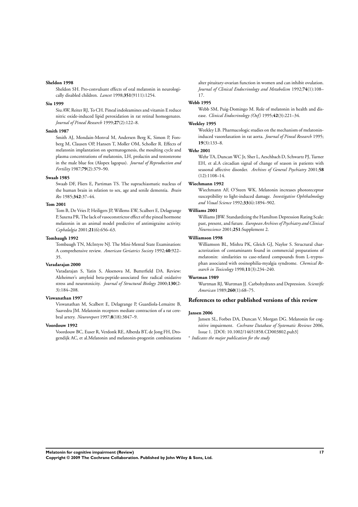### **Sheldon 1998**

Sheldon SH. Pro-convulsant effects of oral melatonin in neurologically disabled children. *Lancet* 1998;**351**(9111):1254.

#### **Siu 1999**

Siu AW, Reiter RJ, To CH. Pineal indoleamines and vitamin E reduce nitric oxide-induced lipid peroxidation in rat retinal homogenates. *Journal of Pineal Research* 1999;**27**(2):122–8.

# **Smith 1987**

Smith AJ, Mondain-Monval M, Andersen Berg K, Simon P, Forsberg M, Clausen OP, Hansen T, Moller OM, Scholler R. Effects of melatonin implantation on spermatogenesis, the moulting cycle and plasma concentrations of melatonin, LH, prolactin and testosterone in the male blue fox (Alopex lagopus). *Journal of Reproduction and Fertility* 1987;**79**(2):379–90.

### **Swaab 1985**

Swaab DF, Fliers E, Partiman TS. The suprachiasmatic nucleus of the human brain in relation to sex, age and senile dementia. *Brain Res* 1985;**342**:37–44.

#### **Tom 2001**

Tom B, De Vries P, Heiligers JP, Willems EW, Scalbert E, Delagrange P, Saxena PR. The lack of vasoconstrictor effect of the pineal hormone melatonin in an animal model predictive of antimigraine activity. *Cephalalgia* 2001;**21**(6):656–63.

# **Tombaugh 1992**

Tombaugh TN, McIntyre NJ. The Mini-Mental State Examination: A comprehensive review. *American Geriatrics Society* 1992;**40**:922– 35.

#### **Varadarajan 2000**

Varadarajan S, Yatin S, Aksenova M, Butterfield DA. Review: Alzheimer's amyloid beta-peptide-associated free radical oxidative stress and neurotoxicity. *Journal of Structural Biology* 2000;**130**(2- 3):184–208.

#### **Viswanathan 1997**

Viswanathan M, Scalbert E, Delagrange P, Guardiola-Lemaitre B, Saavedra JM. Melatonin receptors mediate contraction of a rat cerebral artery. *Neuroreport* 1997;**8**(18):3847–9.

### **Voordouw 1992**

Voordouw BC, Euser R, Verdonk RE, Alberda BT, de Jong FH, Drogendijk AC, et al.Melatonin and melatonin-progestin combinations alter pituitary-ovarian function in women and can inhibit ovulation. *Journal of Clinical Endocrinology and Metabolism* 1992;**74**(1):108– 17.

#### **Webb 1995**

Webb SM, Puig-Domingo M. Role of melatonin in health and disease. *Clinical Endocrinology (Oxf )* 1995;**42**(3):221–34.

# **Weekley 1995**

Weekley LB. Pharmacologic studies on the mechanism of melatonininduced vasorelaxation in rat aorta. *Journal of Pineal Research* 1995; **19**(3):133–8.

#### **Wehr 2001**

Wehr TA, Duncan WC Jr, Sher L, Aeschbach D, Schwartz PJ, Turner EH, et al.A circadian signal of change of season in patients with seasonal affective disorder. *Archives of General Psychiatry* 2001;**58** (12):1108–14.

### **Wiechmann 1992**

Wiechmann AF, O'Steen WK. Melatonin increases photoreceptor susceptibility to light-induced damage. *Investigative Ophthalmology and Visual Science* 1992;**33**(6):1894–902.

# **Williams 2001**

Williams JBW. Standardizing the Hamilton Depression Rating Scale: past, present, and future. *European Archives of Psychiatry and Clinical Neuroscience* 2001;**251**:Supplement 2.

### **Williamson 1998**

Williamson BL, Mishra PK, Gleich GJ, Naylor S. Structural characterization of contaminants found in commercial preparations of melatonin: similarities to case-related compounds from L-tryptophan associated with eosinophilia-myalgia syndrome. *Chemical Research in Toxicology* 1998;**11**(3):234–240.

#### **Wurtman 1989**

Wurtman RJ, Wurtman JJ. Carbohydrates and Depression. *Scientific American* 1989;**260**(1):68–75.

## **References to other published versions of this review**

#### **Jansen 2006**

Jansen SL, Forbes DA, Duncan V, Morgan DG. Melatonin for cognitive impairment. *Cochrane Database of Systematic Reviews* 2006, Issue 1. [DOI: 10.1002/14651858.CD003802.pub3]

∗ *Indicates the major publication for the study*

**Melatonin for cognitive impairment (Review) 17**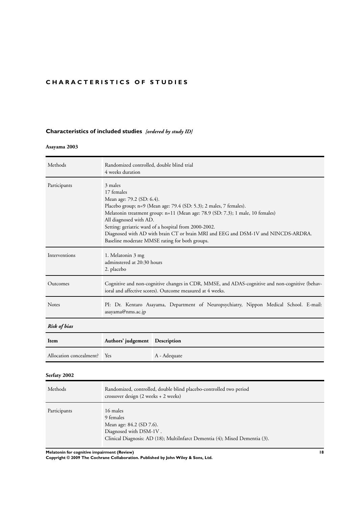# <span id="page-19-0"></span>**CHARACTERISTICS OF STUDIES**

# **Characteristics of included studies** *[ordered by study ID]*

# **Asayama 2003**

| Methods                 | Randomized controlled, double blind trial<br>4 weeks duration                                                                                                                                                                                                                                                                                                                                                                        |              |  |  |
|-------------------------|--------------------------------------------------------------------------------------------------------------------------------------------------------------------------------------------------------------------------------------------------------------------------------------------------------------------------------------------------------------------------------------------------------------------------------------|--------------|--|--|
| Participants            | 3 males<br>17 females<br>Mean age: 79.2 (SD: 6.4).<br>Placebo group; n=9 (Mean age: 79.4 (SD: 5.3); 2 males, 7 females).<br>Melatonin treatment group: n=11 (Mean age: 78.9 (SD: 7.3); 1 male, 10 females)<br>All diagnosed with AD.<br>Setting: geriatric ward of a hospital from 2000-2002.<br>Diagnosed with AD with brain CT or brain MRI and EEG and DSM-1V and NINCDS-ARDRA.<br>Baseline moderate MMSE rating for both groups. |              |  |  |
| Interventions           | 1. Melatonin 3 mg<br>adminstered at 20:30 hours<br>2. placebo                                                                                                                                                                                                                                                                                                                                                                        |              |  |  |
| Outcomes                | Cognitive and non-cognitive changes in CDR, MMSE, and ADAS-cognitive and non-cognitive (behav-<br>ioral and affective scores). Outcome measured at 4 weeks.                                                                                                                                                                                                                                                                          |              |  |  |
| Notes                   | PI: Dr. Kentaro Asayama, Department of Neuropsychiatry, Nippon Medical School. E-mail:<br>asayama@nms.ac.jp                                                                                                                                                                                                                                                                                                                          |              |  |  |
| <b>Risk of bias</b>     |                                                                                                                                                                                                                                                                                                                                                                                                                                      |              |  |  |
| Item                    | Authors' judgement Description                                                                                                                                                                                                                                                                                                                                                                                                       |              |  |  |
| Allocation concealment? | Yes                                                                                                                                                                                                                                                                                                                                                                                                                                  | A - Adequate |  |  |
| Serfaty 2002            |                                                                                                                                                                                                                                                                                                                                                                                                                                      |              |  |  |
| Methods                 | Randomized, controlled, double blind placebo-controlled two period<br>crossover design (2 weeks + 2 weeks)                                                                                                                                                                                                                                                                                                                           |              |  |  |
| Participants            | 16 males<br>9 females<br>Mean age: 84.2 (SD 7.6).<br>Diagnosed with DSM-1V.<br>Clinical Diagnosis: AD (18); MultiInfarct Dementia (4); Mixed Dementia (3).                                                                                                                                                                                                                                                                           |              |  |  |

**Melatonin for cognitive impairment (Review) 18**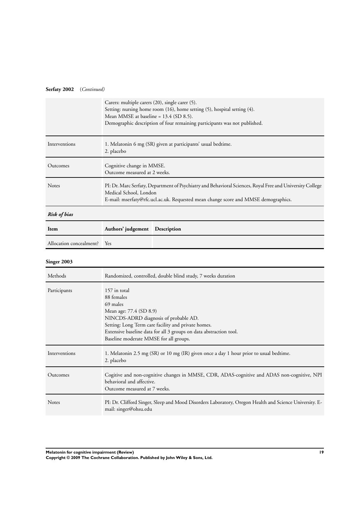# **Serfaty 2002** (*Continued)*

|                             | Carers: multiple carers (20), single carer (5).<br>Setting: nursing home room (16), home setting (5), hospital setting (4).<br>Mean MMSE at baseline = 13.4 (SD 8.5).<br>Demographic description of four remaining participants was not published. |  |  |  |  |
|-----------------------------|----------------------------------------------------------------------------------------------------------------------------------------------------------------------------------------------------------------------------------------------------|--|--|--|--|
| Interventions               | 1. Melatonin 6 mg (SR) given at participants' usual bedtime.<br>2. placebo                                                                                                                                                                         |  |  |  |  |
| Outcomes                    | Cognitive change in MMSE.<br>Outcome measured at 2 weeks.                                                                                                                                                                                          |  |  |  |  |
| <b>Notes</b>                | PI: Dr. Marc Serfaty, Department of Psychiatry and Behavioral Sciences, Royal Free and University College<br>Medical School, London<br>E-mail: mserfaty@rfc.ucl.ac.uk. Requested mean change score and MMSE demographics.                          |  |  |  |  |
| <b>Risk of bias</b>         |                                                                                                                                                                                                                                                    |  |  |  |  |
| Item                        | Authors' judgement Description                                                                                                                                                                                                                     |  |  |  |  |
| Allocation concealment? Yes |                                                                                                                                                                                                                                                    |  |  |  |  |

# **Singer 2003**

| Methods       | Randomized, controlled, double blind study, 7 weeks duration                                                                                                                                                                                                                      |  |  |  |
|---------------|-----------------------------------------------------------------------------------------------------------------------------------------------------------------------------------------------------------------------------------------------------------------------------------|--|--|--|
| Participants  | 157 in total<br>88 females<br>69 males<br>Mean age: 77.4 (SD 8.9)<br>NINCDS-ADRD diagnosis of probable AD.<br>Setting: Long Term care facility and private homes.<br>Extensive baseline data for all 3 groups on data abstraction tool.<br>Baseline moderate MMSE for all groups. |  |  |  |
| Interventions | 1. Melatonin 2.5 mg (SR) or 10 mg (IR) given once a day 1 hour prior to usual bedtime.<br>2. placebo                                                                                                                                                                              |  |  |  |
| Outcomes      | Cogitive and non-cognitive changes in MMSE, CDR, ADAS-cognitive and ADAS non-cognitive, NPI<br>behavioral and affective.<br>Outcome measured at 7 weeks.                                                                                                                          |  |  |  |
| <b>Notes</b>  | PI: Dr. Clifford Singer, Sleep and Mood Disorders Laboratory, Oregon Health and Science University. E-<br>mail: singer@ohsu.edu                                                                                                                                                   |  |  |  |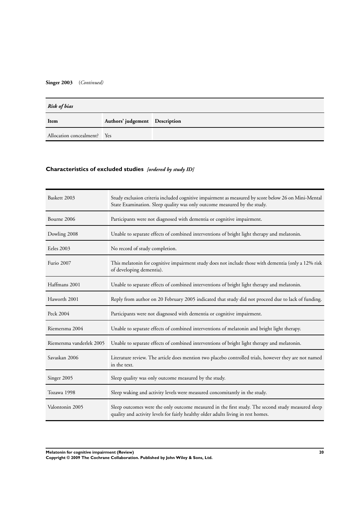# <span id="page-21-0"></span>**Singer 2003** (*Continued)*

| <b>Risk of bias</b>         |                                |  |  |  |
|-----------------------------|--------------------------------|--|--|--|
| Item                        | Authors' judgement Description |  |  |  |
| Allocation concealment? Yes |                                |  |  |  |

# **Characteristics of excluded studies** *[ordered by study ID]*

| Baskett 2003             | Study exclusion criteria included cognitive impairment as measured by score below 26 on Mini-Mental<br>State Examination. Sleep quality was only outcome measured by the study.        |  |  |  |
|--------------------------|----------------------------------------------------------------------------------------------------------------------------------------------------------------------------------------|--|--|--|
| Bourne 2006              | Participants were not diagnosed with dementia or cognitive impairment.                                                                                                                 |  |  |  |
| Dowling 2008             | Unable to separate effects of combined interventions of bright light therapy and melatonin.                                                                                            |  |  |  |
| <b>Eeles 2003</b>        | No record of study completion.                                                                                                                                                         |  |  |  |
| Furio 2007               | This melatonin for cognitive impairment study does not include those with dementia (only a 12% risk<br>of developing dementia).                                                        |  |  |  |
| Haffmans 2001            | Unable to separate effects of combined interventions of bright light therapy and melatonin.                                                                                            |  |  |  |
| Haworth 2001             | Reply from author on 20 February 2005 indicated that study did not proceed due to lack of funding.                                                                                     |  |  |  |
| Peck 2004                | Participants were not diagnosed with dementia or cognitive impairment.                                                                                                                 |  |  |  |
| Riemersma 2004           | Unable to separate effects of combined interventions of melatonin and bright light therapy.                                                                                            |  |  |  |
| Riemersma vanderlek 2005 | Unable to separate effects of combined interventions of bright light therapy and melatonin.                                                                                            |  |  |  |
| Savaskan 2006            | Literature review. The article does mention two placebo controlled trials, however they are not named<br>in the text.                                                                  |  |  |  |
| Singer 2005              | Sleep quality was only outcome measured by the study.                                                                                                                                  |  |  |  |
| Tozawa 1998              | Sleep waking and activity levels were measured concomitantly in the study.                                                                                                             |  |  |  |
| Valontonin 2005          | Sleep outcomes were the only outcome measured in the first study. The second study measured sleep<br>quality and activity levels for fairly healthy older adults living in rest homes. |  |  |  |

**Melatonin for cognitive impairment (Review) 20**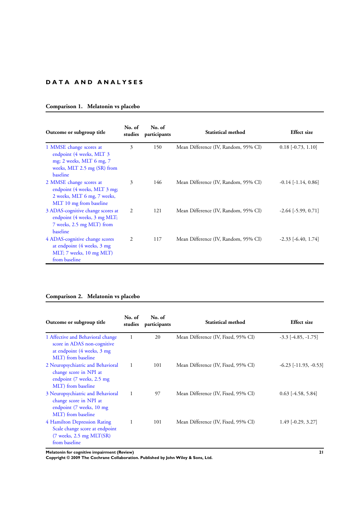# **D A T A A N D A N A L Y S E S**

# **Comparison 1. Melatonin vs placebo**

| Outcome or subgroup title                                                                                                  | No. of<br>studies | No. of<br>participants | <b>Statistical method</b>            | <b>Effect</b> size        |
|----------------------------------------------------------------------------------------------------------------------------|-------------------|------------------------|--------------------------------------|---------------------------|
| 1 MMSE change scores at<br>endpoint (4 weeks, MLT 3<br>mg; 2 weeks, MLT 6 mg, 7<br>weeks, MLT 2.5 mg (SR) from<br>baseline | 3                 | 150                    | Mean Difference (IV, Random, 95% CI) | $0.18$ [ $-0.73$ , 1.10]  |
| 2 MMSE change scores at<br>endpoint (4 weeks, MLT 3 mg;<br>2 weeks, MLT 6 mg, 7 weeks,<br>MLT 10 mg from baseline          | 3                 | 146                    | Mean Difference (IV, Random, 95% CI) | $-0.14$ $[-1.14, 0.86]$   |
| 3 ADAS-cognitive change scores at<br>endpoint (4 weeks, 3 mg MLT;<br>7 weeks, 2.5 mg MLT) from<br>baseline                 | 2                 | 121                    | Mean Difference (IV, Random, 95% CI) | $-2.64$ [ $-5.99$ , 0.71] |
| 4 ADAS-cognitive change scores<br>at endpoint (4 weeks, 3 mg<br>MLT; 7 weeks, 10 mg MLT)<br>from baseline                  | 2                 | 117                    | Mean Difference (IV, Random, 95% CI) | $-2.33$ $[-6.40, 1.74]$   |

# **Comparison 2. Melatonin vs placebo**

| Outcome or subgroup title                                                                                                             | No. of<br>studies | No. of<br>participants | <b>Statistical method</b>           | <b>Effect</b> size        |
|---------------------------------------------------------------------------------------------------------------------------------------|-------------------|------------------------|-------------------------------------|---------------------------|
| 1 Affective and Behavioral change<br>score in ADAS non-cognitive<br>at endpoint (4 weeks, 3 mg<br>MLT) from baseline                  | 1                 | 20                     | Mean Difference (IV, Fixed, 95% CI) | $-3.3$ $[-4.85, -1.75]$   |
| 2 Neuropsychiatric and Behavioral<br>change score in NPI at<br>endpoint (7 weeks, 2.5 mg)<br>MLT) from baseline                       | $\overline{1}$    | 101                    | Mean Difference (IV, Fixed, 95% CI) | $-6.23$ $[-11.93, -0.53]$ |
| 3 Neuropsychiatric and Behavioral<br>change score in NPI at<br>endpoint (7 weeks, 10 mg<br>MLT) from baseline                         | 1                 | 97                     | Mean Difference (IV, Fixed, 95% CI) | $0.63$ [-4.58, 5.84]      |
| 4 Hamilton Depression Rating<br>Scale change score at endpoint<br>$(7 \text{ weeks}, 2.5 \text{ mg MIT}(\text{SR}))$<br>from baseline | 1                 | 101                    | Mean Difference (IV, Fixed, 95% CI) | $1.49$ [-0.29, 3.27]      |

**Melatonin for cognitive impairment (Review) 21**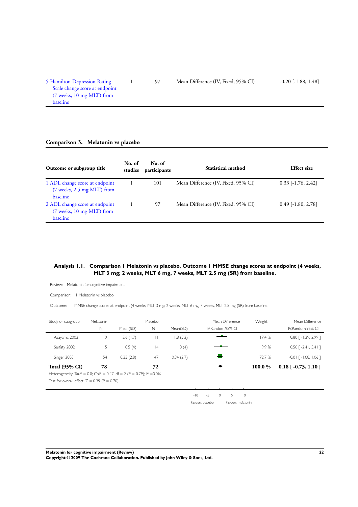<span id="page-23-0"></span>[5 Hamilton Depression Rating](#page-27-0) [Scale change score at endpoint](#page-27-0) [\(7 weeks, 10 mg MLT\) from](#page-27-0) [baseline](#page-27-0) 1 97 Mean Difference (IV, Fixed, 95% CI) -0.20 [-1.88, 1.48]

# **Comparison 3. Melatonin vs placebo**

| Outcome or subgroup title                                                  | No. of<br>studies | No. of<br>participants | Statistical method                  | <b>Effect size</b>   |
|----------------------------------------------------------------------------|-------------------|------------------------|-------------------------------------|----------------------|
| 1 ADL change score at endpoint<br>$(7$ weeks, 2.5 mg MLT) from<br>baseline |                   | 101                    | Mean Difference (IV, Fixed, 95% CI) | $0.33$ [-1.76, 2.42] |
| 2 ADL change score at endpoint<br>(7 weeks, 10 mg MLT) from<br>baseline    |                   | 97                     | Mean Difference (IV, Fixed, 95% CI) | $0.49$ [-1.80, 2.78] |

# **Analysis 1.1. Comparison 1 Melatonin vs placebo, Outcome 1 MMSE change scores at endpoint (4 weeks, MLT 3 mg; 2 weeks, MLT 6 mg, 7 weeks, MLT 2.5 mg (SR) from baseline.**

Review: Melatonin for cognitive impairment

Comparison: 1 Melatonin vs placebo

Outcome: 1 MMSE change scores at endpoint (4 weeks, MLT 3 mg; 2 weeks, MLT 6 mg, 7 weeks, MLT 2.5 mg (SR) from baseline

| Study or subgroup                                                                                                                                                                   | Melatonin    |           | Placebo      |           | Mean Difference                                            | Weight         | Mean Difference                      |
|-------------------------------------------------------------------------------------------------------------------------------------------------------------------------------------|--------------|-----------|--------------|-----------|------------------------------------------------------------|----------------|--------------------------------------|
|                                                                                                                                                                                     | $\mathsf{N}$ | Mean(SD)  | $\mathbb N$  | Mean(SD)  | IV, Random, 95% CI                                         |                | IV, Random, 95% CI                   |
| Asayama 2003                                                                                                                                                                        | 9            | 2.6(1.7)  | $\mathbf{H}$ | 1.8(3.2)  |                                                            | 17.4 %         | $0.80$ [ -1.39, 2.99 ]               |
| Serfaty 2002                                                                                                                                                                        | 15           | 0.5(4)    | 4            | 0(4)      |                                                            | 9.9%           | $0.50$ [ -2.41, 3.41 ]               |
| Singer 2003                                                                                                                                                                         | 54           | 0.33(2.8) | 47           | 0.34(2.7) |                                                            | 72.7 %         | $-0.0$   $\lceil -1.08, 1.06 \rceil$ |
| <b>Total (95% CI)</b><br>Heterogeneity: Tau <sup>2</sup> = 0.0; Chi <sup>2</sup> = 0.47, df = 2 (P = 0.79); l <sup>2</sup> = 0.0%<br>Test for overall effect: $Z = 0.39$ (P = 0.70) | 78           |           | 72           |           |                                                            | 100.0%         | $0.18$ [ $-0.73$ , 1.10 ]            |
|                                                                                                                                                                                     |              |           |              |           | $-10$<br>$-5$<br>5<br>Favours placebo<br>Favours melatonin | $\overline{0}$ |                                      |

**Melatonin for cognitive impairment (Review) 22**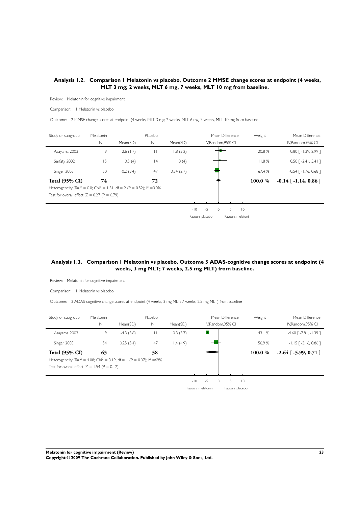# <span id="page-24-0"></span>**Analysis 1.2. Comparison 1 Melatonin vs placebo, Outcome 2 MMSE change scores at endpoint (4 weeks, MLT 3 mg; 2 weeks, MLT 6 mg, 7 weeks, MLT 10 mg from baseline.**

Review: Melatonin for cognitive impairment

Comparison: 1 Melatonin vs placebo

Outcome: 2 MMSE change scores at endpoint (4 weeks, MLT 3 mg; 2 weeks, MLT 6 mg, 7 weeks, MLT 10 mg from baseline

| Study or subgroup                                                                                        | Melatonin   |              | Placebo       |           |       |                 | Mean Difference    |                   | Weight | Mean Difference                    |
|----------------------------------------------------------------------------------------------------------|-------------|--------------|---------------|-----------|-------|-----------------|--------------------|-------------------|--------|------------------------------------|
|                                                                                                          | $\mathbb N$ | Mean(SD)     | $\mathbb N$   | Mean(SD)  |       |                 | IV, Random, 95% CI |                   |        | IV, Random, 95% CI                 |
| Asayama 2003                                                                                             | 9           | 2.6(1.7)     | $\mathbf{  }$ | 1.8(3.2)  |       |                 |                    |                   | 20.8 % | $0.80$ $\lceil -1.39, 2.99 \rceil$ |
| Serfaty 2002                                                                                             | 15          | 0.5(4)       | 4             | 0(4)      |       |                 |                    |                   | 11.8%  | $0.50$ [ -2.41, 3.41 ]             |
| Singer 2003                                                                                              | 50          | $-0.2$ (3.4) | 47            | 0.34(2.7) |       |                 |                    |                   | 67.4 % | $-0.54$ [ $-1.76$ , 0.68]          |
| <b>Total (95% CI)</b>                                                                                    | 74          |              | 72            |           |       |                 |                    |                   | 100.0% | $-0.14$ [ $-1.14$ , 0.86 ]         |
| Heterogeneity: Tau <sup>2</sup> = 0.0; Chi <sup>2</sup> = 1.31, df = 2 (P = 0.52); l <sup>2</sup> = 0.0% |             |              |               |           |       |                 |                    |                   |        |                                    |
| Test for overall effect: $Z = 0.27$ (P = 0.79)                                                           |             |              |               |           |       |                 |                    |                   |        |                                    |
|                                                                                                          |             |              |               |           |       |                 |                    |                   |        |                                    |
|                                                                                                          |             |              |               |           | $-10$ | $-5$            |                    | 5.<br>$ 0\rangle$ |        |                                    |
|                                                                                                          |             |              |               |           |       | Favours placebo |                    | Favours melatonin |        |                                    |
|                                                                                                          |             |              |               |           |       |                 |                    |                   |        |                                    |
|                                                                                                          |             |              |               |           |       |                 |                    |                   |        |                                    |

# **Analysis 1.3. Comparison 1 Melatonin vs placebo, Outcome 3 ADAS-cognitive change scores at endpoint (4 weeks, 3 mg MLT; 7 weeks, 2.5 mg MLT) from baseline.**

Review: Melatonin for cognitive impairment

Comparison: 1 Melatonin vs placebo

Outcome: 3 ADAS-cognitive change scores at endpoint (4 weeks, 3 mg MLT; 7 weeks, 2.5 mg MLT) from baseline

| Study or subgroup                                                                                                                                                         | Melatonin<br>$\mathbb N$ | Mean(SD)    | Placebo<br>$\hbox{N}$ | Mean(SD) |                                    | Mean Difference<br>IV, Random, 95% CI  | Weight | Mean Difference<br>IV, Random, 95% CI |
|---------------------------------------------------------------------------------------------------------------------------------------------------------------------------|--------------------------|-------------|-----------------------|----------|------------------------------------|----------------------------------------|--------|---------------------------------------|
| Asayama 2003                                                                                                                                                              | 9                        | $-4.3(3.6)$ | $\mathbf{H}$          | 0.3(3.7) |                                    |                                        | 43.1 % | $-4.60$ [ $-7.81$ , $-1.39$ ]         |
| Singer 2003                                                                                                                                                               | 54                       | 0.25(5.4)   | 47                    | 1.4(4.9) |                                    |                                        | 56.9%  | $-1.15$ [ $-3.16$ , 0.86 ]            |
| <b>Total (95% CI)</b><br>Heterogeneity: Tau <sup>2</sup> = 4.08; Chi <sup>2</sup> = 3.19, df = 1 (P = 0.07); $1^2$ =69%<br>Test for overall effect: $Z = 1.54$ (P = 0.12) | 63                       |             | 58                    |          |                                    |                                        | 100.0% | $-2.64$ [ $-5.99$ , 0.71]             |
|                                                                                                                                                                           |                          |             |                       |          | $-5$<br>$-10$<br>Favours melatonin | 5<br>$\overline{0}$<br>Favours placebo |        |                                       |

**Melatonin for cognitive impairment (Review) 23**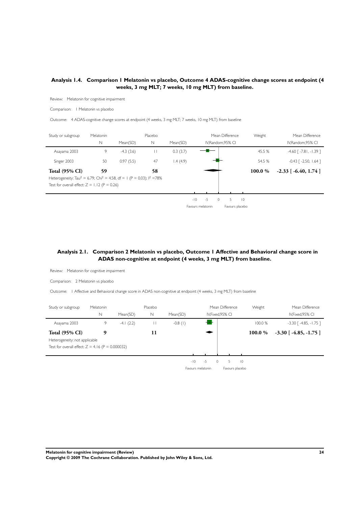# <span id="page-25-0"></span>**Analysis 1.4. Comparison 1 Melatonin vs placebo, Outcome 4 ADAS-cognitive change scores at endpoint (4 weeks, 3 mg MLT; 7 weeks, 10 mg MLT) from baseline.**

Review: Melatonin for cognitive impairment

Review: Melatonin for cognitive impairment

Comparison: 1 Melatonin vs placebo

Outcome: 4 ADAS-cognitive change scores at endpoint (4 weeks, 3 mg MLT; 7 weeks, 10 mg MLT) from baseline

| Study or subgroup                                                                              | Melatonin   |             | Placebo |          |                   |                    | Mean Difference |                 | Weight         | Mean Difference                     |
|------------------------------------------------------------------------------------------------|-------------|-------------|---------|----------|-------------------|--------------------|-----------------|-----------------|----------------|-------------------------------------|
|                                                                                                | $\mathbb N$ | Mean(SD)    | N       | Mean(SD) |                   | IV, Random, 95% CI |                 |                 |                | IV, Random, 95% CI                  |
| Asayama 2003                                                                                   | 9           | $-4.3(3.6)$ | $\perp$ | 0.3(3.7) |                   |                    |                 |                 | 45.5 %         | $-4.60$ [ $-7.81$ , $-1.39$ ]       |
| Singer 2003                                                                                    | 50          | 0.97(5.5)   | 47      | 1.4(4.9) |                   |                    |                 |                 | 54.5 %         | $-0.43$ $\lceil -2.50, 1.64 \rceil$ |
| <b>Total (95% CI)</b>                                                                          | 59          |             | 58      |          |                   |                    |                 |                 | 100.0 %        | $-2.33$ [ $-6.40$ , 1.74 ]          |
| Heterogeneity: Tau <sup>2</sup> = 6.79; Chi <sup>2</sup> = 4.58, df = 1 (P = 0.03); $1^2$ =78% |             |             |         |          |                   |                    |                 |                 |                |                                     |
| Test for overall effect: $Z = 1.12$ (P = 0.26)                                                 |             |             |         |          |                   |                    |                 |                 |                |                                     |
|                                                                                                |             |             |         |          |                   |                    |                 |                 |                |                                     |
|                                                                                                |             |             |         |          | $-10$             | $-5$               |                 | 5.              | $\overline{0}$ |                                     |
|                                                                                                |             |             |         |          | Favours melatonin |                    |                 | Favours placebo |                |                                     |
|                                                                                                |             |             |         |          |                   |                    |                 |                 |                |                                     |
|                                                                                                |             |             |         |          |                   |                    |                 |                 |                |                                     |

# **Analysis 2.1. Comparison 2 Melatonin vs placebo, Outcome 1 Affective and Behavioral change score in ADAS non-cognitive at endpoint (4 weeks, 3 mg MLT) from baseline.**

Comparison: 2 Melatonin vs placebo Outcome: 1 Affective and Behavioral change score in ADAS non-cognitive at endpoint (4 weeks, 3 mg MLT) from baseline

| Study or subgroup                                  | Melatonin   |             | Placebo    |            |                   | Mean Difference     | Weight  | Mean Difference               |
|----------------------------------------------------|-------------|-------------|------------|------------|-------------------|---------------------|---------|-------------------------------|
|                                                    | $\mathbb N$ | Mean(SD)    | $\hbox{N}$ | Mean(SD)   |                   | IV, Fixed, 95% CI   |         | IV, Fixed, 95% CI             |
| Asayama 2003                                       | 9           | $-4.1(2.2)$ | $\perp$    | $-0.8$ (1) |                   |                     | 100.0 % | $-3.30$ [ $-4.85$ , $-1.75$ ] |
| <b>Total (95% CI)</b>                              | 9           |             | 11         |            |                   |                     | 100.0%  | $-3.30$ [ $-4.85$ , $-1.75$ ] |
| Heterogeneity: not applicable                      |             |             |            |            |                   |                     |         |                               |
| Test for overall effect: $Z = 4.16$ (P = 0.000032) |             |             |            |            |                   |                     |         |                               |
|                                                    |             |             |            |            |                   |                     |         |                               |
|                                                    |             |             |            | $\sim\!10$ | $-5$<br>$\Omega$  | $\overline{0}$<br>5 |         |                               |
|                                                    |             |             |            |            | Favours melatonin | Favours placebo     |         |                               |
|                                                    |             |             |            |            |                   |                     |         |                               |
|                                                    |             |             |            |            |                   |                     |         |                               |
|                                                    |             |             |            |            |                   |                     |         |                               |
|                                                    |             |             |            |            |                   |                     |         |                               |
|                                                    |             |             |            |            |                   |                     |         |                               |
|                                                    |             |             |            |            |                   |                     |         |                               |
|                                                    |             |             |            |            |                   |                     |         |                               |
|                                                    |             |             |            |            |                   |                     |         |                               |
|                                                    |             |             |            |            |                   |                     |         |                               |
|                                                    |             |             |            |            |                   |                     |         |                               |
|                                                    |             |             |            |            |                   |                     |         |                               |
|                                                    |             |             |            |            |                   |                     |         |                               |
| Melatonin for cognitive impairment (Review)        |             |             |            |            |                   |                     |         | 24                            |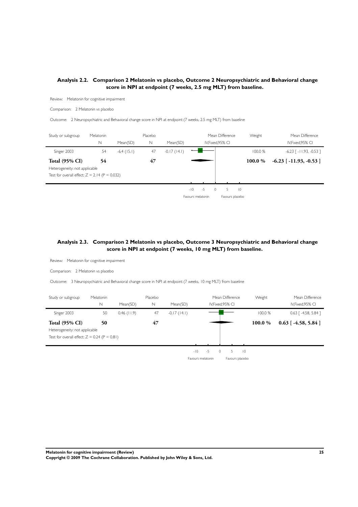# <span id="page-26-0"></span>**Analysis 2.2. Comparison 2 Melatonin vs placebo, Outcome 2 Neuropsychiatric and Behavioral change score in NPI at endpoint (7 weeks, 2.5 mg MLT) from baseline.**

Review: Melatonin for cognitive impairment

Comparison: 2 Melatonin vs placebo

Outcome: 2 Neuropsychiatric and Behavioral change score in NPI at endpoint (7 weeks, 2.5 mg MLT) from baseline

| Study or subgroup                               | Melatonin<br>N | Mean(SD)      | Placebo<br>$\mathbb N$ | Mean(SD)      |                   | Mean Difference<br>IV.Fixed.95% CI | Weight  | Mean Difference<br>IV.Fixed.95% CI |
|-------------------------------------------------|----------------|---------------|------------------------|---------------|-------------------|------------------------------------|---------|------------------------------------|
| Singer 2003                                     | 54             | $-6.4$ (15.1) | 47                     | $-0.17(14.1)$ |                   |                                    | 100.0%  | $-6.23$ [ $-11.93$ , $-0.53$ ]     |
| <b>Total (95% CI)</b>                           | 54             |               | 47                     |               |                   |                                    | 100.0 % | $-6.23$ [ $-11.93$ , $-0.53$ ]     |
| Heterogeneity: not applicable                   |                |               |                        |               |                   |                                    |         |                                    |
| Test for overall effect: $Z = 2.14$ (P = 0.032) |                |               |                        |               |                   |                                    |         |                                    |
|                                                 |                |               |                        |               |                   |                                    |         |                                    |
|                                                 |                |               |                        |               | $-5$<br>$-10$     | 5.<br>$\overline{0}$<br>$\circ$    |         |                                    |
|                                                 |                |               |                        |               | Favours melatonin | Favours placebo                    |         |                                    |
|                                                 |                |               |                        |               |                   |                                    |         |                                    |

# **Analysis 2.3. Comparison 2 Melatonin vs placebo, Outcome 3 Neuropsychiatric and Behavioral change score in NPI at endpoint (7 weeks, 10 mg MLT) from baseline.**

Review: Melatonin for cognitive impairment

Comparison: 2 Melatonin vs placebo

Outcome: 3 Neuropsychiatric and Behavioral change score in NPI at endpoint (7 weeks, 10 mg MLT) from baseline

| Study or subgroup                              | Melatonin<br>$\mathbb N$ | Mean(SD)      | Placebo<br>$\hbox{N}$ | Mean(SD)      | IV, Fixed, 95% CI       | Mean Difference |                 | Weight  | Mean Difference<br>IV, Fixed, 95% CI |
|------------------------------------------------|--------------------------|---------------|-----------------------|---------------|-------------------------|-----------------|-----------------|---------|--------------------------------------|
| Singer 2003                                    | 50                       | $0.46$ (11.9) | 47                    | $-0.17(14.1)$ |                         |                 |                 | 100.0 % | $0.63$ $[ -4.58, 5.84 ]$             |
| Total (95% CI)                                 | 50                       |               | 47                    |               |                         |                 |                 | 100.0%  | $0.63$ [ -4.58, 5.84 ]               |
| Heterogeneity: not applicable                  |                          |               |                       |               |                         |                 |                 |         |                                      |
| Test for overall effect: $Z = 0.24$ (P = 0.81) |                          |               |                       |               |                         |                 |                 |         |                                      |
|                                                |                          |               |                       |               | $-5$<br>$\sim$   O<br>0 | 5               | $\overline{10}$ |         |                                      |
|                                                |                          |               |                       |               | Favours melatonin       | Favours placebo |                 |         |                                      |
|                                                |                          |               |                       |               |                         |                 |                 |         |                                      |
|                                                |                          |               |                       |               |                         |                 |                 |         |                                      |
|                                                |                          |               |                       |               |                         |                 |                 |         |                                      |
|                                                |                          |               |                       |               |                         |                 |                 |         |                                      |
|                                                |                          |               |                       |               |                         |                 |                 |         |                                      |
|                                                |                          |               |                       |               |                         |                 |                 |         |                                      |
|                                                |                          |               |                       |               |                         |                 |                 |         |                                      |
|                                                |                          |               |                       |               |                         |                 |                 |         |                                      |
|                                                |                          |               |                       |               |                         |                 |                 |         |                                      |
|                                                |                          |               |                       |               |                         |                 |                 |         |                                      |

**Melatonin for cognitive impairment (Review) 25**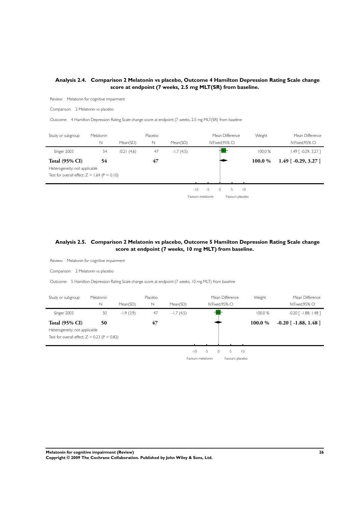# <span id="page-27-0"></span>**Analysis 2.4. Comparison 2 Melatonin vs placebo, Outcome 4 Hamilton Depression Rating Scale change score at endpoint (7 weeks, 2.5 mg MLT(SR) from baseline.**

Review: Melatonin for cognitive impairment

Comparison: 2 Melatonin vs placebo

Outcome: 4 Hamilton Depression Rating Scale change score at endpoint (7 weeks, 2.5 mg MLT(SR) from baseline

| Study or subgroup                              | Melatonin |              | Placebo |             |                   | Mean Difference     | Weight  | Mean Difference        |
|------------------------------------------------|-----------|--------------|---------|-------------|-------------------|---------------------|---------|------------------------|
|                                                | N         | Mean(SD)     | N       | Mean(SD)    |                   | IV, Fixed, 95% CI   |         | IV, Fixed, 95% CI      |
| Singer 2003                                    | 54        | $-0.21(4.6)$ | 47      | $-1.7(4.5)$ |                   |                     | 100.0 % | $1.49$ $[-0.29, 3.27]$ |
| <b>Total (95% CI)</b>                          | 54        |              | 47      |             |                   |                     | 100.0 % | $1.49$ [ -0.29, 3.27 ] |
| Heterogeneity: not applicable                  |           |              |         |             |                   |                     |         |                        |
| Test for overall effect: $Z = 1.64$ (P = 0.10) |           |              |         |             |                   |                     |         |                        |
|                                                |           |              |         |             |                   |                     |         |                        |
|                                                |           |              |         |             | $-5$<br>$-10$     | 5<br>$\overline{0}$ |         |                        |
|                                                |           |              |         |             | Favours melatonin | Favours placebo     |         |                        |
|                                                |           |              |         |             |                   |                     |         |                        |
|                                                |           |              |         |             |                   |                     |         |                        |

# **Analysis 2.5. Comparison 2 Melatonin vs placebo, Outcome 5 Hamilton Depression Rating Scale change score at endpoint (7 weeks, 10 mg MLT) from baseline.**

Review: Melatonin for cognitive impairment

Comparison: 2 Melatonin vs placebo

Outcome: 5 Hamilton Depression Rating Scale change score at endpoint (7 weeks, 10 mg MLT) from baseline

| Study or subgroup                              | Melatonin<br>$\hbox{N}$ | Mean(SD)    | Placebo<br>$\mathbb N$ | Mean(SD)    | Mean Difference<br>IV, Fixed, 95% CI                                            | Weight  | Mean Difference<br>IV, Fixed, 95% CI |
|------------------------------------------------|-------------------------|-------------|------------------------|-------------|---------------------------------------------------------------------------------|---------|--------------------------------------|
| Singer 2003                                    | 50                      | $-1.9(3.9)$ | 47                     | $-1.7(4.5)$ |                                                                                 | 100.0 % | $-0.20$ $\lceil -1.88, 1.48 \rceil$  |
| <b>Total (95% CI)</b>                          | 50                      |             | 47                     |             |                                                                                 | 100.0%  | $-0.20$ [ $-1.88$ , $1.48$ ]         |
| Heterogeneity: not applicable                  |                         |             |                        |             |                                                                                 |         |                                      |
| Test for overall effect: $Z = 0.23$ (P = 0.82) |                         |             |                        |             |                                                                                 |         |                                      |
|                                                |                         |             |                        | $-10$       | $-5$<br>5<br>$\overline{0}$<br>$\Omega$<br>Favours melatonin<br>Favours placebo |         |                                      |
| Melatonin for cognitive impairment (Review)    |                         |             |                        |             |                                                                                 |         | 26                                   |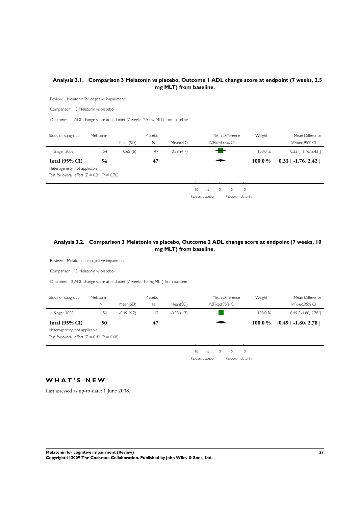# <span id="page-28-0"></span>**Analysis 3.1. Comparison 3 Melatonin vs placebo, Outcome 1 ADL change score at endpoint (7 weeks, 2.5 mg MLT) from baseline.**

Review: Melatonin for cognitive impairment Comparison: 3 Melatonin vs placebo Outcome: 1 ADL change score at endpoint (7 weeks, 2.5 mg MLT) from baseline Study or subgroup Melatonin Mear Placebo Placebo Mean Difference Weight Mean Difference N Mean(SD) N Mean(SD) IV,Fixed,95% CI IV,Fixed,95% CI Singer 2003 54 -0.65 (6) 47 -0.98 (4.7) - 100.0 % 0.33 [-1.76, 2.42 ] Total (95% CI) 54 47 100.0 % 0.33 [ -1.76, 2.42 ] Heterogeneity: not applicable Test for overall effect:  $Z = 0.31$  (P = 0.76) -10 -5 0 5 10 Favours placebo Favours melatonin

# **Analysis 3.2. Comparison 3 Melatonin vs placebo, Outcome 2 ADL change score at endpoint (7 weeks, 10 mg MLT) from baseline.**

Review: Melatonin for cognitive impairment Comparison: 3 Melatonin vs placebo Outcome: 2 ADL change score at endpoint (7 weeks, 10 mg MLT) from baseline Study or subgroup Melatonin Mean Difference Mean Difference Weight Mean Difference N Mean(SD) N Mean(SD) IV,Fixed,95% CI IV,Fixed,95% CI Singer 2003 50 -0.49 (6.7) 47 -0.98 (4.7) 100.0 % 0.49 [ -1.80, 2.78 ] Total (95% CI) 50 47 47 100.0 % 0.49 [ -1.80, 2.78 ] Heterogeneity: not applicable Test for overall effect:  $Z = 0.42$  (P = 0.68) -10 -5 0 5 10 Favours placebo Favours melatonin **W H A T ' S N E W** Last assessed as up-to-date: 1 June 2008.

**Melatonin for cognitive impairment (Review) 27**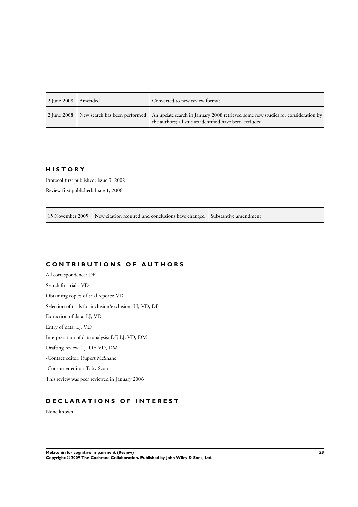| 2 June 2008 Amended | Converted to new review format.                                                                                                                                                      |
|---------------------|--------------------------------------------------------------------------------------------------------------------------------------------------------------------------------------|
|                     | 2 June 2008 New search has been performed An update search in January 2008 retrieved some new studies for consideration by<br>the authors; all studies identified have been excluded |

# **H I S T O R Y**

Protocol first published: Issue 3, 2002 Review first published: Issue 1, 2006

15 November 2005 New citation required and conclusions have changed Substantive amendment

# **C O N T R I B U T I O N S O F A U T H O R S**

All correspondence: DF Search for trials: VD Obtaining copies of trial reports: VD Selection of trials for inclusion/exclusion: LJ, VD, DF Extraction of data: LJ, VD Entry of data: LJ, VD Interpretation of data analysis: DF, LJ, VD, DM Drafting review: LJ, DF, VD, DM -Contact editor: Rupert McShane -Consumer editor: Toby Scott This review was peer reviewed in January 2006

# **D E C L A R A T I O N S O F I N T E R E S T**

None known